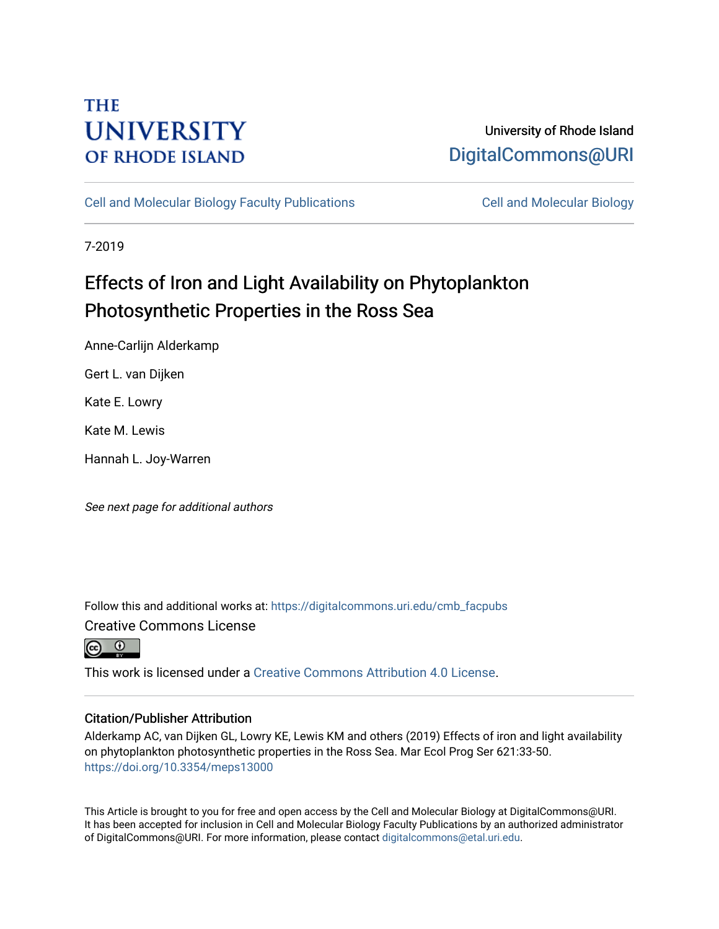## **THE UNIVERSITY OF RHODE ISLAND**

## University of Rhode Island [DigitalCommons@URI](https://digitalcommons.uri.edu/)

[Cell and Molecular Biology Faculty Publications](https://digitalcommons.uri.edu/cmb_facpubs) [Cell and Molecular Biology](https://digitalcommons.uri.edu/cmb) 

7-2019

# Effects of Iron and Light Availability on Phytoplankton Photosynthetic Properties in the Ross Sea

Anne-Carlijn Alderkamp

Gert L. van Dijken

Kate E. Lowry

Kate M. Lewis

Hannah L. Joy-Warren

See next page for additional authors

Follow this and additional works at: [https://digitalcommons.uri.edu/cmb\\_facpubs](https://digitalcommons.uri.edu/cmb_facpubs?utm_source=digitalcommons.uri.edu%2Fcmb_facpubs%2F144&utm_medium=PDF&utm_campaign=PDFCoverPages)  Creative Commons License



This work is licensed under a [Creative Commons Attribution 4.0 License](https://creativecommons.org/licenses/by/4.0/).

## Citation/Publisher Attribution

Alderkamp AC, van Dijken GL, Lowry KE, Lewis KM and others (2019) Effects of iron and light availability on phytoplankton photosynthetic properties in the Ross Sea. Mar Ecol Prog Ser 621:33-50. <https://doi.org/10.3354/meps13000>

This Article is brought to you for free and open access by the Cell and Molecular Biology at DigitalCommons@URI. It has been accepted for inclusion in Cell and Molecular Biology Faculty Publications by an authorized administrator of DigitalCommons@URI. For more information, please contact [digitalcommons@etal.uri.edu](mailto:digitalcommons@etal.uri.edu).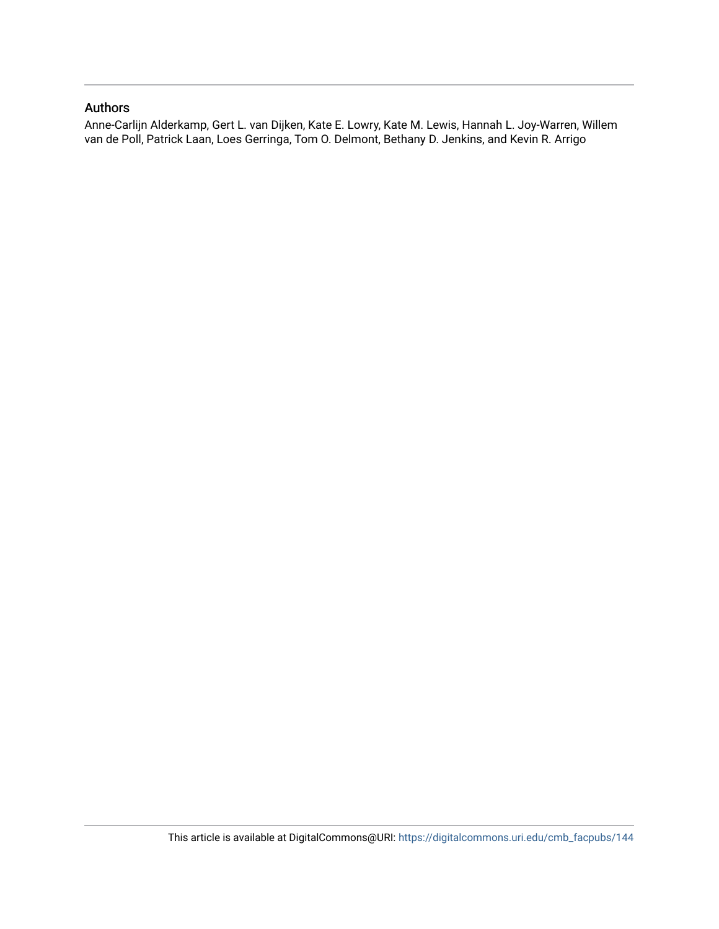## Authors

Anne-Carlijn Alderkamp, Gert L. van Dijken, Kate E. Lowry, Kate M. Lewis, Hannah L. Joy-Warren, Willem van de Poll, Patrick Laan, Loes Gerringa, Tom O. Delmont, Bethany D. Jenkins, and Kevin R. Arrigo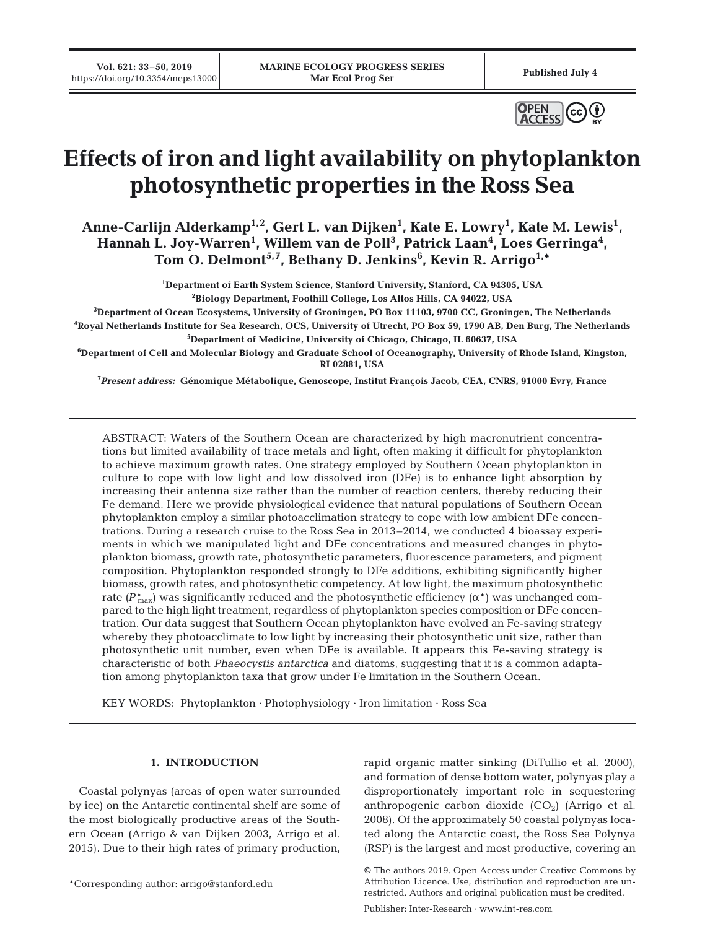**Vol. 621: 33–50, 2019**



# **Effects of iron and light availability on phytoplankton photosynthetic properties in the Ross Sea**

Anne-Carlijn Alderkamp<sup>1,2</sup>, Gert L. van Dijken<sup>1</sup>, Kate E. Lowry<sup>1</sup>, Kate M. Lewis<sup>1</sup>, Hannah L. Joy-Warren<sup>1</sup>, Willem van de Poll<sup>3</sup>, Patrick Laan<sup>4</sup>, Loes Gerringa<sup>4</sup>, **Tom O. Delmont5,7, Bethany D. Jenkins6 , Kevin R. Arrigo1,\***

> **1 Department of Earth System Science, Stanford University, Stanford, CA 94305, USA 2 Biology Department, Foothill College, Los Altos Hills, CA 94022, USA**

**3 Department of Ocean Ecosystems, University of Groningen, PO Box 11103, 9700 CC, Groningen, The Netherlands 4 Royal Netherlands Institute for Sea Research, OCS, University of Utrecht, PO Box 59, 1790 AB, Den Burg, The Netherlands 5 Department of Medicine, University of Chicago, Chicago, IL 60637, USA**

**6 Department of Cell and Molecular Biology and Graduate School of Oceanography, University of Rhode Island, Kingston, RI 02881, USA**

**7** *Present address:* **Génomique Métabolique, Genoscope, Institut François Jacob, CEA, CNRS, 91000 Evry, France**

ABSTRACT: Waters of the Southern Ocean are characterized by high macronutrient concentrations but limited availability of trace metals and light, often making it difficult for phytoplankton to achieve maximum growth rates. One strategy employed by Southern Ocean phytoplankton in culture to cope with low light and low dissolved iron (DFe) is to enhance light absorption by increasing their antenna size rather than the number of reaction centers, thereby reducing their Fe demand. Here we provide physiological evidence that natural populations of Southern Ocean phytoplankton employ a similar photoacclimation strategy to cope with low ambient DFe concentrations. During a research cruise to the Ross Sea in 2013–2014, we conducted 4 bioassay experiments in which we manipulated light and DFe concentrations and measured changes in phytoplankton biomass, growth rate, photosynthetic parameters, fluorescence parameters, and pigment composition. Phytoplankton responded strongly to DFe additions, exhibiting significantly higher biomass, growth rates, and photosynthetic competency. At low light, the maximum photosynthetic rate  $(P_{\text{max}}^*)$  was significantly reduced and the photosynthetic efficiency  $(\alpha^*)$  was unchanged compared to the high light treatment, regardless of phytoplankton species composition or DFe concentration. Our data suggest that Southern Ocean phytoplankton have evolved an Fe-saving strategy whereby they photoacclimate to low light by increasing their photosynthetic unit size, rather than photosynthetic unit number, even when DFe is available. It appears this Fe-saving strategy is characteristic of both *Phaeocystis antarctica* and diatoms, suggesting that it is a common adaptation among phytoplankton taxa that grow under Fe limitation in the Southern Ocean.

KEY WORDS: Phytoplankton · Photophysiology · Iron limitation · Ross Sea

## **1. INTRODUCTION**

Coastal polynyas (areas of open water surrounded by ice) on the Antarctic continental shelf are some of the most biologically productive areas of the Southern Ocean (Arrigo & van Dijken 2003, Arrigo et al. 2015). Due to their high rates of primary production,

\*Corresponding author: arrigo@stanford.edu

rapid organic matter sinking (DiTullio et al. 2000), and formation of dense bottom water, polynyas play a disproportionately important role in sequestering anthropogenic carbon dioxide  $(CO_2)$  (Arrigo et al. 2008). Of the approximately 50 coastal polynyas loca ted along the Antarctic coast, the Ross Sea Polynya (RSP) is the largest and most productive, covering an

Publisher: Inter-Research · www.int-res.com

<sup>©</sup> The authors 2019. Open Access under Creative Commons by Attribution Licence. Use, distribution and reproduction are unrestricted. Authors and original publication must be credited.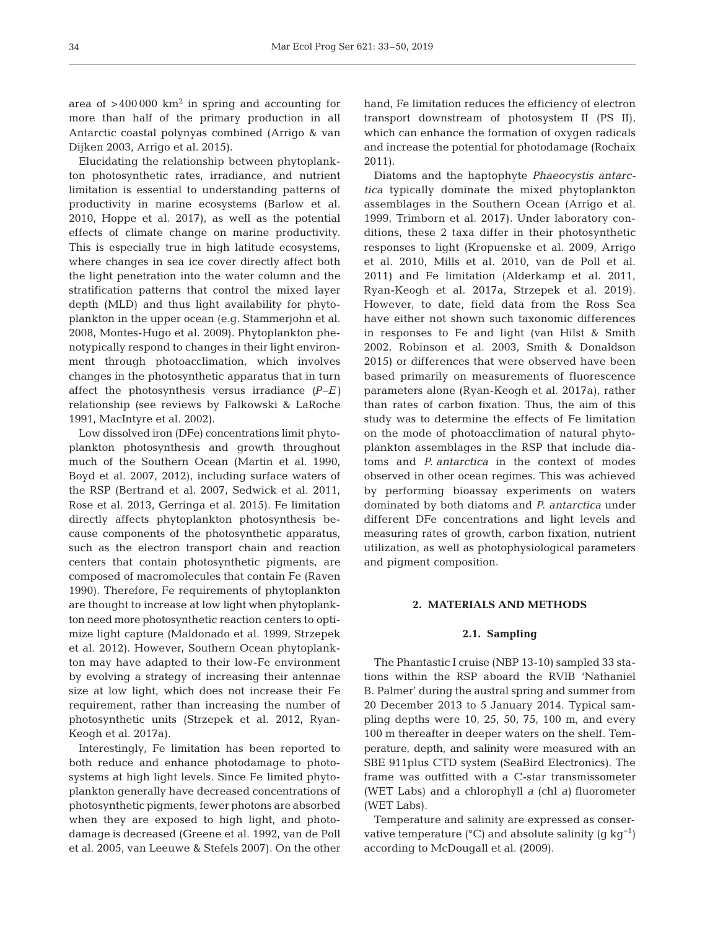area of  $>400000 \text{ km}^2$  in spring and accounting for more than half of the primary production in all Antarctic coastal polynyas combined (Arrigo & van Dijken 2003, Arrigo et al. 2015).

Elucidating the relationship between phytoplankton photosynthetic rates, irradiance, and nutrient limitation is essential to understanding patterns of productivity in marine ecosystems (Barlow et al. 2010, Hoppe et al. 2017), as well as the potential effects of climate change on marine productivity. This is especially true in high latitude ecosystems, where changes in sea ice cover directly affect both the light penetration into the water column and the stratification patterns that control the mixed layer depth (MLD) and thus light availability for phytoplankton in the upper ocean (e.g. Stammerjohn et al. 2008, Montes-Hugo et al. 2009). Phytoplankton phenotypically respond to changes in their light environment through photoacclimation, which involves changes in the photosynthetic apparatus that in turn affect the photosynthesis versus irradiance *(P−E)* relationship (see reviews by Falkowski & LaRoche 1991, MacIntyre et al. 2002).

Low dissolved iron (DFe) concentrations limit phytoplankton photosynthesis and growth throughout much of the Southern Ocean (Martin et al. 1990, Boyd et al. 2007, 2012), including surface waters of the RSP (Bertrand et al. 2007, Sedwick et al. 2011, Rose et al. 2013, Gerringa et al. 2015). Fe limitation directly affects phytoplankton photosynthesis be cause components of the photosynthetic apparatus, such as the electron transport chain and reaction centers that contain photosynthetic pigments, are composed of macromolecules that contain Fe (Raven 1990). Therefore, Fe requirements of phytoplankton are thought to increase at low light when phytoplankton need more photosynthetic reaction centers to optimize light capture (Maldonado et al. 1999, Strzepek et al. 2012). However, Southern Ocean phytoplankton may have adapted to their low-Fe environment by evolving a strategy of increasing their antennae size at low light, which does not increase their Fe requirement, rather than increasing the number of photosynthetic units (Strzepek et al. 2012, Ryan-Keogh et al. 2017a).

Interestingly, Fe limitation has been reported to both reduce and enhance photodamage to photosystems at high light levels. Since Fe limited phytoplankton generally have decreased concentrations of photosynthetic pigments, fewer photons are absorbed when they are exposed to high light, and photodamage is decreased (Greene et al. 1992, van de Poll et al. 2005, van Leeuwe & Stefels 2007). On the other hand, Fe limitation reduces the efficiency of electron transport downstream of photosystem II (PS II), which can enhance the formation of oxygen radicals and increase the potential for photodamage (Rochaix 2011).

Diatoms and the haptophyte *Phaeocystis antarctica* typically dominate the mixed phytoplankton assemblages in the Southern Ocean (Arrigo et al. 1999, Trimborn et al. 2017). Under laboratory conditions, these 2 taxa differ in their photosynthetic responses to light (Kropuenske et al. 2009, Arrigo et al. 2010, Mills et al. 2010, van de Poll et al. 2011) and Fe limitation (Alderkamp et al. 2011, Ryan-Keogh et al. 2017a, Strzepek et al. 2019). However, to date, field data from the Ross Sea have either not shown such taxonomic differences in responses to Fe and light (van Hilst & Smith 2002, Robinson et al. 2003, Smith & Donaldson 2015) or differences that were observed have been based primarily on measurements of fluorescence parameters alone (Ryan-Keogh et al. 2017a), rather than rates of carbon fixation. Thus, the aim of this study was to determine the effects of Fe limitation on the mode of photoacclimation of natural phytoplankton assemblages in the RSP that include diatoms and *P. antarctica* in the context of modes observed in other ocean regimes. This was achieved by performing bioassay experiments on waters dominated by both diatoms and *P. antarctica* under different DFe concentrations and light levels and measuring rates of growth, carbon fixation, nutrient utilization, as well as photophysiological parameters and pigment composition.

#### **2. MATERIALS AND METHODS**

#### **2.1. Sampling**

The Phantastic I cruise (NBP 13-10) sampled 33 stations within the RSP aboard the RVIB 'Nathaniel B. Palmer' during the austral spring and summer from 20 December 2013 to 5 January 2014. Typical sampling depths were 10, 25, 50, 75, 100 m, and every 100 m thereafter in deeper waters on the shelf. Temperature, depth, and salinity were measured with an SBE 911plus CTD system (SeaBird Electronics). The frame was outfitted with a C-star transmissometer (WET Labs) and a chlorophyll *a* (chl *a)* fluorometer (WET Labs).

Temperature and salinity are expressed as conservative temperature ( $^{\circ}$ C) and absolute salinity (g kg<sup>-1</sup>) according to McDougall et al. (2009).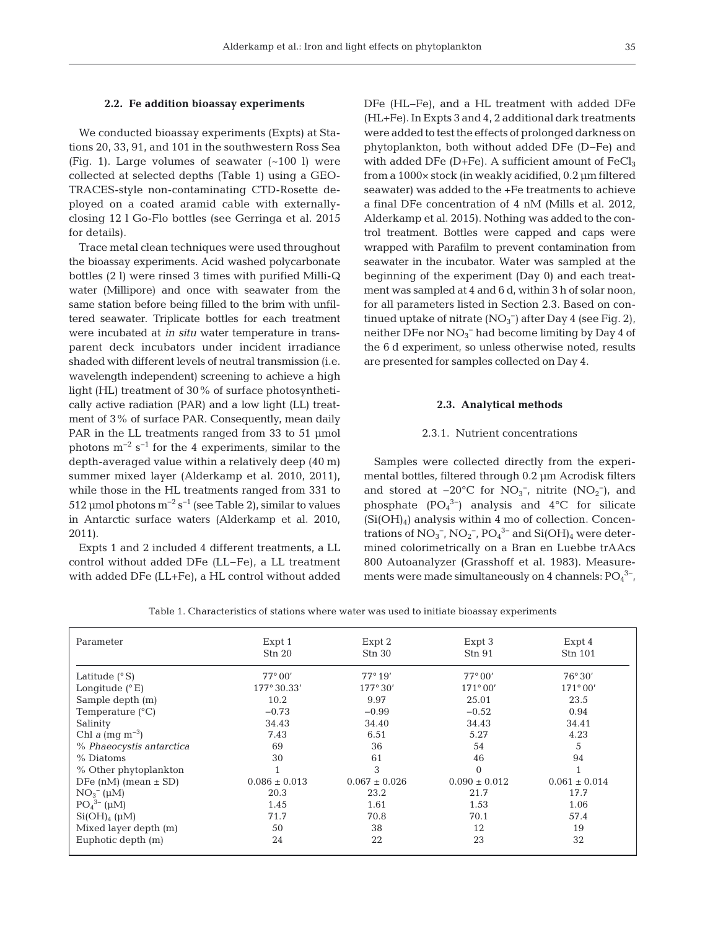#### **2.2. Fe addition bioassay experiments**

We conducted bioassay experiments (Expts) at Stations 20, 33, 91, and 101 in the southwestern Ross Sea (Fig. 1). Large volumes of seawater (~100 l) were collected at selected depths (Table 1) using a GEO - TRACES-style non-contaminating CTD-Rosette de ployed on a coated aramid cable with externallyclosing 12 l Go-Flo bottles (see Gerringa et al. 2015 for details).

Trace metal clean techniques were used throughout the bioassay experiments. Acid washed polycarbonate bottles (2 l) were rinsed 3 times with purified Milli-Q water (Millipore) and once with seawater from the same station before being filled to the brim with unfiltered seawater. Triplicate bottles for each treatment were incubated at *in situ* water temperature in transparent deck incubators under incident irradiance shaded with different levels of neutral transmission (i.e. wavelength independent) screening to achieve a high light (HL) treatment of 30% of surface photosynthetically active radiation (PAR) and a low light (LL) treatment of 3% of surface PAR. Consequently, mean daily PAR in the LL treatments ranged from 33 to 51 µmol photons  $m^{-2}$  s<sup>-1</sup> for the 4 experiments, similar to the depth- averaged value within a relatively deep (40 m) summer mixed layer (Alderkamp et al. 2010, 2011), while those in the HL treatments ranged from 331 to 512 µmol photons  $m^{-2} s^{-1}$  (see Table 2), similar to values in Antarctic surface waters (Alderkamp et al. 2010, 2011).

Expts 1 and 2 included 4 different treatments, a LL control without added DFe (LL−Fe), a LL treatment with added DFe (LL+Fe), a HL control without added DFe (HL−Fe), and a HL treatment with added DFe (HL+Fe). In Expts 3 and 4, 2 additional dark treatments were added to test the effects of prolonged darkness on phytoplankton, both without added DFe (D−Fe) and with added DFe (D+Fe). A sufficient amount of  $FeCl<sub>3</sub>$ from a 1000× stock (in weakly acidified, 0.2 μm filtered seawater) was added to the +Fe treatments to achieve a final DFe concentration of 4 nM (Mills et al. 2012, Alderkamp et al. 2015). Nothing was added to the control treatment. Bottles were capped and caps were wrapped with Parafilm to prevent contamination from seawater in the incubator. Water was sampled at the beginning of the experiment (Day 0) and each treatment was sampled at 4 and 6 d, within 3 h of solar noon, for all parameters listed in Section 2.3. Based on continued uptake of nitrate  $(NO<sub>3</sub><sup>-</sup>)$  after Day 4 (see Fig. 2), neither DFe nor  $NO_3^-$  had become limiting by Day 4 of the 6 d experiment, so unless otherwise noted, results are presented for samples collected on Day 4.

#### **2.3. Analytical methods**

#### 2.3.1. Nutrient concentrations

Samples were collected directly from the experimental bottles, filtered through 0.2 μm Acrodisk filters and stored at  $-20^{\circ}$ C for NO<sub>3</sub><sup>-</sup>, nitrite (NO<sub>2</sub><sup>-</sup>), and phosphate  $(PO<sub>4</sub><sup>3-</sup>)$  analysis and  $4°C$  for silicate  $(Si(OH)_4)$  analysis within 4 mo of collection. Concentrations of  $NO_3^-$ ,  $NO_2^-$ ,  $PO_4^3$ <sup>-</sup> and  $Si(OH)_4$  were determined colorimetrically on a Bran en Luebbe trAAcs 800 Autoanalyzer (Grasshoff et al. 1983). Measurements were made simultaneously on 4 channels:  $PO_4^3$ <sup>-</sup>,

Table 1. Characteristics of stations where water was used to initiate bioassay experiments

| Parameter                  | Expt 1<br>Stn 20  | Expt 2<br>Stn 30  | Expt 3<br>Stn 91  | Expt 4<br>Stn 101 |
|----------------------------|-------------------|-------------------|-------------------|-------------------|
| Latitude $(^{\circ}S)$     | $77^{\circ}00'$   | $77^\circ 19'$    | $77^{\circ}00'$   | $76^{\circ}30'$   |
| Longitude $(^{\circ}E)$    | 177° 30.33'       | 177°30'           | $171^{\circ}00'$  | $171^{\circ}00'$  |
| Sample depth (m)           | 10.2              | 9.97              | 25.01             | 23.5              |
| Temperature $(^{\circ}C)$  | $-0.73$           | $-0.99$           | $-0.52$           | 0.94              |
| Salinity                   | 34.43             | 34.40             | 34.43             | 34.41             |
| Chl a $(mq m^{-3})$        | 7.43              | 6.51              | 5.27              | 4.23              |
| % Phaeocystis antarctica   | 69                | 36                | 54                | 5                 |
| % Diatoms                  | 30                | 61                | 46                | 94                |
| % Other phytoplankton      |                   | 3                 | $\Omega$          |                   |
| DFe $(nM)$ (mean $\pm$ SD) | $0.086 \pm 0.013$ | $0.067 \pm 0.026$ | $0.090 \pm 0.012$ | $0.061 \pm 0.014$ |
| $NO_3^- (\mu M)$           | 20.3              | 23.2              | 21.7              | 17.7              |
| $PO43-$ (µM)               | 1.45              | 1.61              | 1.53              | 1.06              |
| $Si(OH)_{4}$ (µM)          | 71.7              | 70.8              | 70.1              | 57.4              |
| Mixed layer depth (m)      | 50                | 38                | 12                | 19                |
| Euphotic depth (m)         | 24                | 22                | 23                | 32                |
|                            |                   |                   |                   |                   |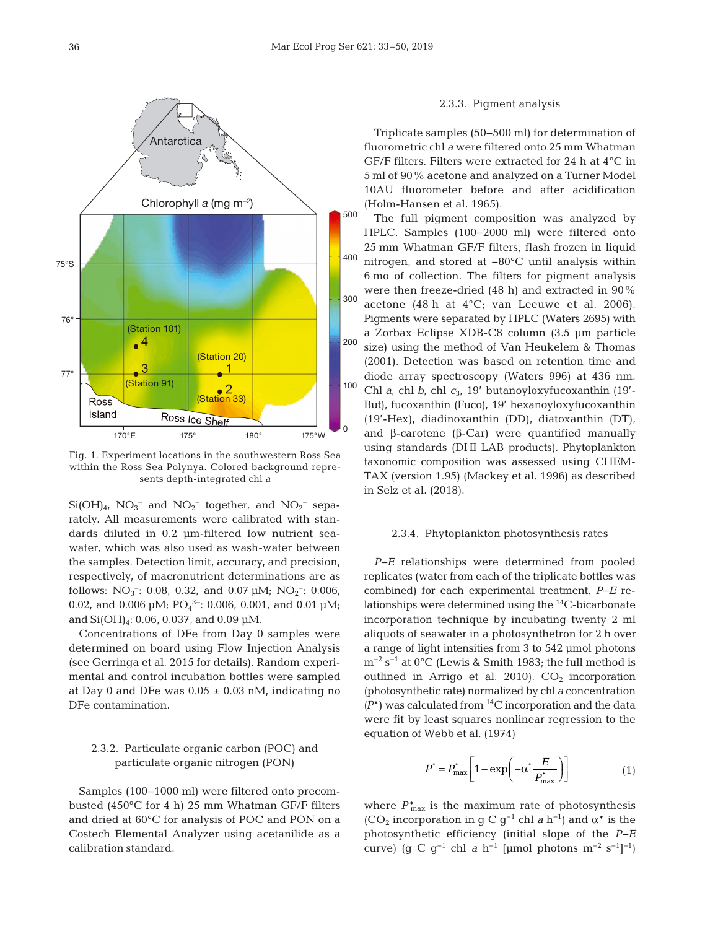

Fig. 1. Experiment locations in the southwestern Ross Sea within the Ross Sea Polynya. Colored background represents depth-integrated chl *a*

 $Si(OH)_{4}$ ,  $NO_{3}^-$  and  $NO_{2}^-$  together, and  $NO_{2}^-$  separately. All measurements were calibrated with standards diluted in 0.2 μm-filtered low nutrient seawater, which was also used as wash-water between the samples. Detection limit, accuracy, and precision, respectively, of macronutrient determinations are as follows:  $NO_3^-$ : 0.08, 0.32, and 0.07  $\mu$ M;  $NO_2^-$ : 0.006, 0.02, and 0.006  $\mu$ M; PO<sub>4</sub><sup>3-</sup>: 0.006, 0.001, and 0.01  $\mu$ M; and  $Si(OH)_4$ : 0.06, 0.037, and 0.09 µM.

Concentrations of DFe from Day 0 samples were determined on board using Flow Injection Analysis (see Gerringa et al. 2015 for details). Random experimental and control incubation bottles were sampled at Day 0 and DFe was  $0.05 \pm 0.03$  nM, indicating no DFe contamination.

## 2.3.2. Particulate organic carbon (POC) and particulate organic nitrogen (PON)

Samples (100−1000 ml) were filtered onto precombusted (450°C for 4 h) 25 mm Whatman GF/F filters and dried at 60°C for analysis of POC and PON on a Costech Elemental Analyzer using acetanilide as a calibration standard.

### 2.3.3. Pigment analysis

Triplicate samples (50−500 ml) for determination of fluorometric chl *a* were filtered onto 25 mm Whatman GF/F filters. Filters were extracted for 24 h at 4°C in 5 ml of 90% acetone and analyzed on a Turner Model 10AU fluorometer before and after acidification (Holm-Hansen et al. 1965).

The full pigment composition was analyzed by HPLC. Samples (100−2000 ml) were filtered onto 25 mm Whatman GF/F filters, flash frozen in liquid nitrogen, and stored at −80°C until analysis within 6 mo of collection. The filters for pigment analysis were then freeze-dried (48 h) and extracted in 90% acetone (48 h at 4°C; van Leeuwe et al. 2006). Pigments were separated by HPLC (Waters 2695) with a Zorbax Eclipse XDB-C8 column (3.5 μm particle size) using the method of Van Heukelem & Thomas (2001). Detection was based on retention time and diode array spectroscopy (Waters 996) at 436 nm. Chl *a*, chl *b*, chl *c*<sub>3</sub>, 19' butanoyloxy fucoxanthin (19'-But), fucoxanthin (Fuco), 19' hexanoyloxyfucoxanthin (19'-Hex), diadinoxanthin (DD), diatoxanthin (DT), and β-carotene (β-Car) were quantified manually using standards (DHI LAB products). Phytoplankton taxonomic composition was assessed using CHEM-TAX (version 1.95) (Mackey et al. 1996) as described in Selz et al. (2018).

### 2.3.4. Phytoplankton photosynthesis rates

*P−E* relationships were determined from pooled replicates (water from each of the triplicate bottles was combined) for each experimental treatment. *P*−*E* relationships were determined using the  ${}^{14}C$ -bicarbonate incorporation technique by incubating twenty 2 ml aliquots of seawater in a photosynthetron for 2 h over a range of light intensities from 3 to 542 μmol photons  $m^{-2}$  s<sup>-1</sup> at 0°C (Lewis & Smith 1983; the full method is outlined in Arrigo et al. 2010).  $CO<sub>2</sub>$  incorporation (photosynthetic rate) normalized by chl *a* concentration  $(P^*)$  was calculated from <sup>14</sup>C incorporation and the data were fit by least squares nonlinear regression to the equation of Webb et al. (1974)

$$
P^{\dagger} = P_{\text{max}}^{\dagger} \left[ 1 - \exp\left( -\alpha^{\dagger} \frac{E}{P_{\text{max}}^{\dagger}} \right) \right] \tag{1}
$$

where  $P_{\text{max}}^*$  is the maximum rate of photosynthesis (CO<sub>2</sub> incorporation in g C g<sup>-1</sup> chl *a* h<sup>-1</sup>) and  $\alpha^*$  is the photosynthetic efficiency (initial slope of the *P−E* curve) (g C g<sup>-1</sup> chl *a* h<sup>-1</sup> [µmol photons m<sup>-2</sup> s<sup>-1</sup>]<sup>-1</sup>)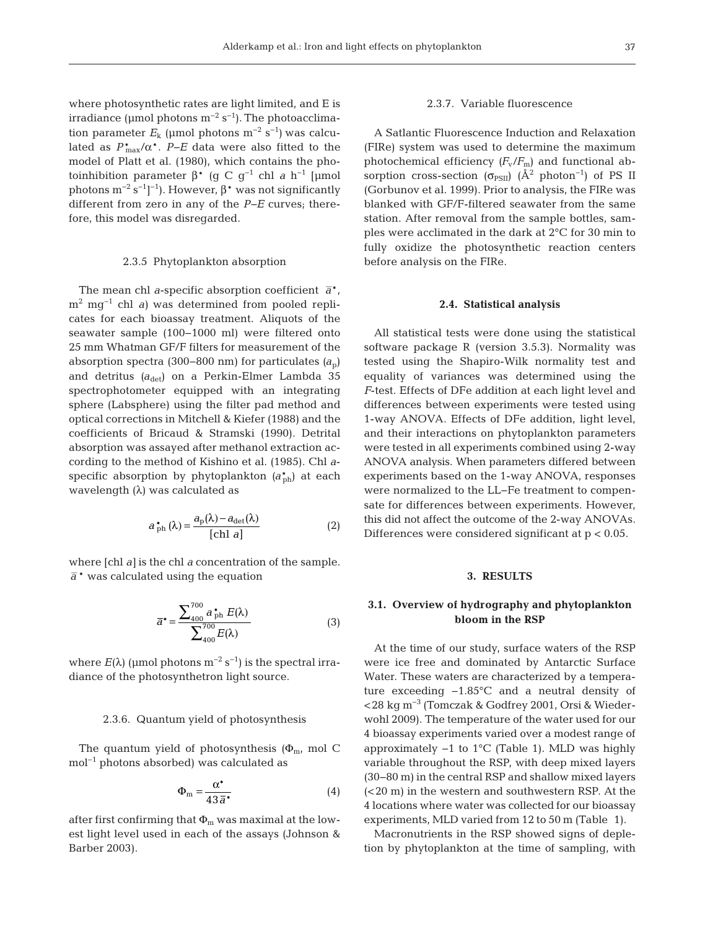where photosynthetic rates are light limited, and E is irradiance (µmol photons  $m^{-2}$  s<sup>-1</sup>). The photoacclimation parameter  $E_k$  (µmol photons m<sup>-2</sup> s<sup>-1</sup>) was calculated as *P*\* max/α\*. *P−E* data were also fitted to the model of Platt et al. (1980), which contains the photoinhibition parameter  $β^*$  (g C g<sup>-1</sup> chl *a* h<sup>-1</sup> [μmol photons  $m^{-2} s^{-1}$ ]<sup>-1</sup>). However,  $β*$  was not significantly different from zero in any of the *P−E* curves; therefore, this model was disregarded.

#### 2.3.5 Phytoplankton absorption

The mean chl *a*-specific absorption coefficient  $\bar{a}^*$ , m2 mg−1 chl *a)* was determined from pooled replicates for each bioassay treatment. Aliquots of the seawater sample (100−1000 ml) were filtered onto 25 mm Whatman GF/F filters for measurement of the absorption spectra (300−800 nm) for particulates *(a*p) and detritus (a<sub>det</sub>) on a Perkin-Elmer Lambda 35 spectrophotometer equipped with an integrating sphere (Labsphere) using the filter pad method and optical corrections in Mitchell & Kiefer (1988) and the coefficients of Bricaud & Stramski (1990). Detrital absorption was assayed after methanol extraction ac cording to the method of Kishino et al. (1985). Chl *a*specific absorption by phytoplankton  $(a_{\text{ph}}^*)$  at each wavelength (λ) was calculated as

$$
a_{\rm ph}^{*}\left(\lambda\right) = \frac{a_{\rm p}(\lambda) - a_{\rm det}(\lambda)}{\left[\text{ch} \, a\right]}
$$
 (2)

where [chl *a]* is the chl *a* concentration of the sample.  $\overline{a}^*$  was calculated using the equation

$$
\overline{a}^* = \frac{\sum_{400}^{700} a_{\text{ph}}^* E(\lambda)}{\sum_{400}^{700} E(\lambda)}
$$
(3)

where  $E(\lambda)$  (µmol photons m<sup>-2</sup> s<sup>-1</sup>) is the spectral irradiance of the photosynthetron light source.

#### 2.3.6. Quantum yield of photosynthesis

The quantum yield of photosynthesis  $(\Phi_{m}$ , mol C mol−1 photons absorbed) was calculated as

$$
\Phi_{\rm m} = \frac{\alpha^*}{43 \,\overline{a}^*} \tag{4}
$$

after first confirming that  $\Phi_m$  was maximal at the lowest light level used in each of the assays (Johnson & Barber 2003).

## 2.3.7. Variable fluorescence

A Satlantic Fluorescence Induction and Relaxation (FIRe) system was used to determine the maximum photochemical efficiency  $(F_v/F_m)$  and functional absorption cross-section ( $\sigma_{PSII}$ ) (Å<sup>2</sup> photon<sup>-1</sup>) of PS II (Gorbunov et al. 1999). Prior to analysis, the FIRe was blanked with GF/F-filtered seawater from the same station. After removal from the sample bottles, samples were acclimated in the dark at 2°C for 30 min to fully oxidize the photosynthetic reaction centers before analysis on the FIRe.

#### **2.4. Statistical analysis**

All statistical tests were done using the statistical software package R (version 3.5.3). Normality was tested using the Shapiro-Wilk normality test and equality of variances was determined using the *F*-test. Effects of DFe addition at each light level and differences between experiments were tested using 1-way ANOVA. Effects of DFe addition, light level, and their interactions on phytoplankton parameters were tested in all experiments combined using 2-way ANOVA analysis. When parameters differed between experiments based on the 1-way ANOVA, responses were normalized to the LL-Fe treatment to compensate for differences between experiments. However, this did not affect the outcome of the 2-way ANOVAs. Differences were considered significant at p < 0.05.

### **3. RESULTS**

## **3.1. Overview of hydrography and phytoplankton bloom in the RSP**

At the time of our study, surface waters of the RSP were ice free and dominated by Antarctic Surface Water. These waters are characterized by a temperature exceeding −1.85°C and a neutral density of <28 kg m−3 (Tomczak & Godfrey 2001, Orsi & Wieder wohl 2009). The temperature of the water used for our 4 bioassay experiments varied over a modest range of approximately −1 to 1°C (Table 1). MLD was highly variable throughout the RSP, with deep mixed layers (30− 80 m) in the central RSP and shallow mixed layers (<20 m) in the western and southwestern RSP. At the 4 locations where water was collected for our bioassay experiments, MLD varied from 12 to 50 m (Table 1).

Macronutrients in the RSP showed signs of depletion by phytoplankton at the time of sampling, with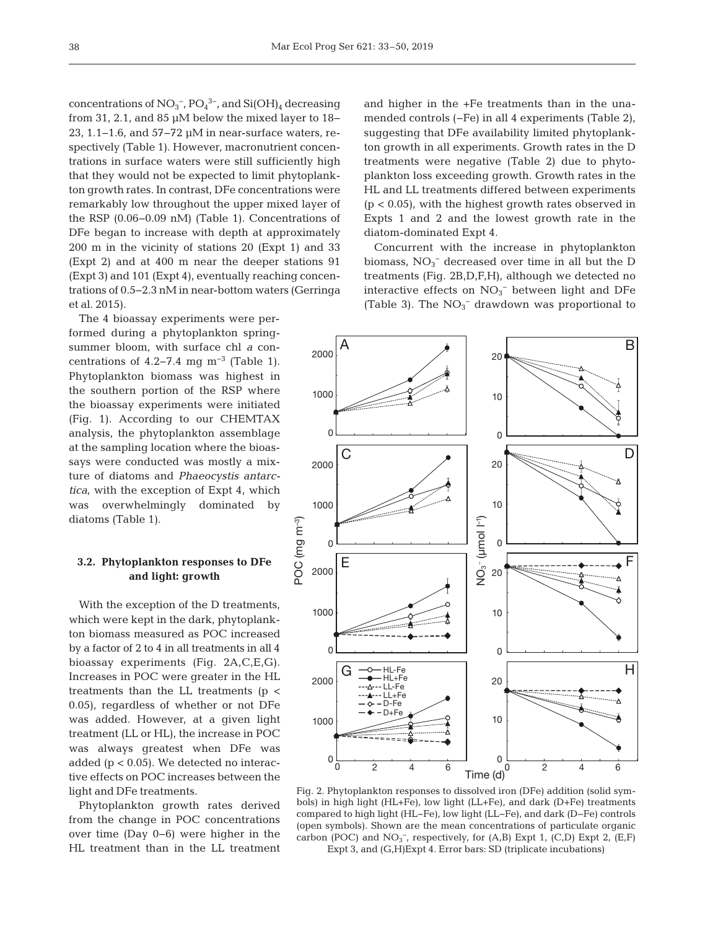concentrations of  $NO_3^-$ ,  $PO_4^{\,3-}$ , and  $Si(OH)_4$  decreasing from 31, 2.1, and 85 μM below the mixed layer to 18− 23, 1.1−1.6, and 57−72 µM in near-surface waters, respectively (Table 1). However, macronutrient concentrations in surface waters were still sufficiently high that they would not be expected to limit phytoplankton growth rates. In contrast, DFe concentrations were remarkably low throughout the upper mixed layer of the RSP (0.06−0.09 nM) (Table 1). Concentrations of DFe began to increase with depth at approximately 200 m in the vicinity of stations 20 (Expt 1) and 33 (Expt 2) and at 400 m near the deeper stations 91 (Expt 3) and 101 (Expt 4), eventually reaching concentrations of 0.5−2.3 nM in near- bottom waters (Gerringa et al. 2015).

The 4 bioassay experiments were performed during a phytoplankton springsummer bloom, with surface chl *a* concentrations of 4.2–7.4 mg  $m^{-3}$  (Table 1). Phytoplankton biomass was highest in the southern portion of the RSP where the bioassay experiments were initiated (Fig. 1). According to our CHEMTAX analysis, the phytoplankton assemblage at the sampling location where the bioassays were conducted was mostly a mixture of diatoms and *Phaeocystis antarctica*, with the exception of Expt 4, which was overwhelmingly dominated by diatoms (Table 1).

## **3.2. Phytoplankton responses to DFe and light: growth**

With the exception of the D treatments, which were kept in the dark, phytoplankton biomass measured as POC increased by a factor of 2 to 4 in all treatments in all 4 bioassay experiments (Fig. 2A,C,E,G). Increases in POC were greater in the HL treatments than the LL treatments (p < 0.05), regardless of whether or not DFe was added. However, at a given light treatment (LL or HL), the increase in POC was always greatest when DFe was added  $(p < 0.05)$ . We detected no interactive effects on POC increases between the light and DFe treatments.

Phytoplankton growth rates derived from the change in POC concentrations over time (Day 0−6) were higher in the HL treatment than in the LL treatment and higher in the +Fe treatments than in the unamended controls (−Fe) in all 4 experiments (Table 2), suggesting that DFe availability limited phytoplankton growth in all experiments. Growth rates in the D treatments were negative (Table 2) due to phytoplankton loss exceeding growth. Growth rates in the HL and LL treatments differed between experiments  $(p < 0.05)$ , with the highest growth rates observed in Expts 1 and 2 and the lowest growth rate in the diatom-dominated Expt 4.

Concurrent with the increase in phytoplankton biomass, NO3 <sup>−</sup> decreased over time in all but the D treatments (Fig. 2B,D,F,H), although we detected no interactive effects on  $NO<sub>3</sub><sup>-</sup>$  between light and DFe (Table 3). The  $NO<sub>3</sub><sup>-</sup>$  drawdown was proportional to



Fig. 2. Phytoplankton responses to dissolved iron (DFe) addition (solid symbols) in high light (HL+Fe), low light (LL+Fe), and dark (D+Fe) treatments compared to high light (HL−Fe), low light (LL−Fe), and dark (D−Fe) controls (open symbols). Shown are the mean concentrations of particulate organic carbon (POC) and  $NO_3^-$ , respectively, for (A,B) Expt 1, (C,D) Expt 2, (E,F) Expt 3, and (G,H)Expt 4. Error bars: SD (triplicate incubations)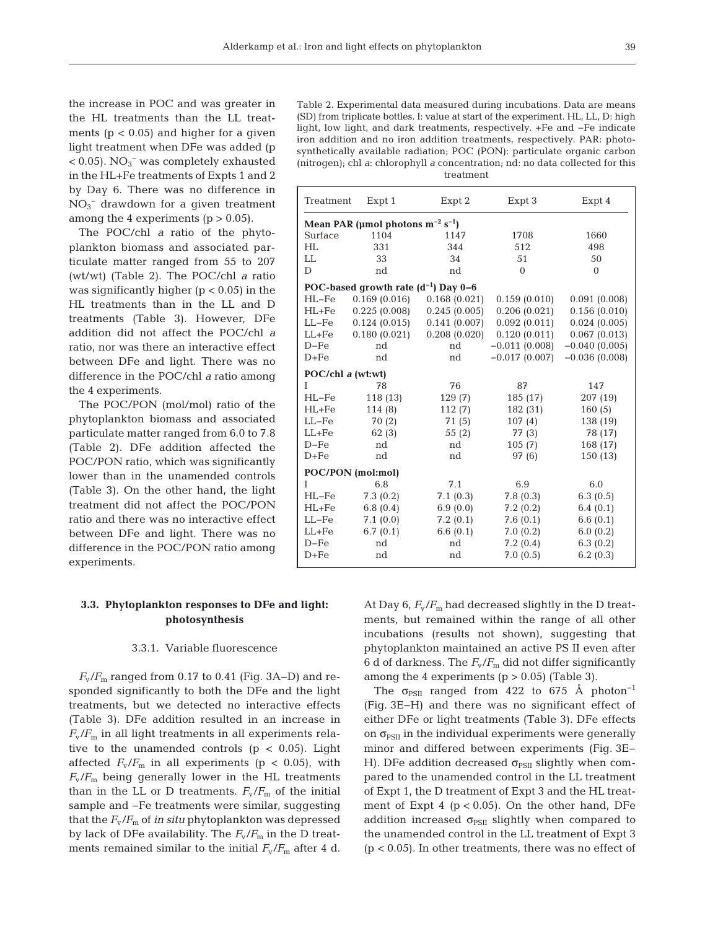the increase in POC and was greater in the HL treatments than the LL treatments ( $p < 0.05$ ) and higher for a given light treatment when DFe was added (p  $< 0.05$ ).  $NO<sub>3</sub><sup>-</sup>$  was completely exhausted in the HL+Fe treatments of Expts 1 and 2 by Day 6. There was no difference in  $NO<sub>3</sub><sup>-</sup>$  drawdown for a given treatment among the 4 experiments  $(p > 0.05)$ .

The POC/chl *a* ratio of the phytoplankton biomass and associated particulate matter ranged from 55 to 207 (wt/wt) (Table 2). The POC/chl *a* ratio was significantly higher ( $p < 0.05$ ) in the HL treatments than in the LL and D treatments (Table 3). However, DFe addition did not affect the POC/chl *a* ratio, nor was there an interactive effect between DFe and light. There was no difference in the POC/chl *a* ratio among the 4 experiments.

The POC/PON (mol/mol) ratio of the phytoplankton biomass and associated particulate matter ranged from 6.0 to 7.8 (Table 2). DFe addition affected the POC/PON ratio, which was significantly lower than in the unamended controls (Table 3). On the other hand, the light treatment did not affect the POC/PON ratio and there was no interactive effect between DFe and light. There was no difference in the POC/PON ratio among experiments.

## **3.3. Phytoplankton responses to DFe and light: photosynthesis**

#### 3.3.1. Variable fluorescence

 $F_{\rm v}/F_{\rm m}$  ranged from 0.17 to 0.41 (Fig. 3A–D) and responded significantly to both the DFe and the light treatments, but we detected no interactive effects (Table 3). DFe addition resulted in an increase in  $F_{\rm v}/F_{\rm m}$  in all light treatments in all experiments relative to the unamended controls  $(p < 0.05)$ . Light affected  $F_{\rm v}/F_{\rm m}$  in all experiments (p < 0.05), with  $F_{\rm v}/F_{\rm m}$  being generally lower in the HL treatments than in the LL or D treatments.  $F_{\rm v}/F_{\rm m}$  of the initial sample and −Fe treatments were similar, suggesting that the  $F_v/F_m$  of *in situ* phytoplankton was depressed by lack of DFe availability. The  $F_v/F_m$  in the D treatments remained similar to the initial  $F_v/F_m$  after 4 d.

Table 2. Experimental data measured during incubations. Data are means (SD) from triplicate bottles. I: value at start of the experiment. HL, LL, D: high light, low light, and dark treatments, respectively. +Fe and −Fe indicate iron addition and no iron addition treatments, respectively. PAR: photosynthetically available radiation; POC (PON): particulate organic carbon (nitrogen); chl *a*: chlorophyll *a* concentration; nd: no data collected for this treatment

| Treatment         | Expt 1                                            | Expt 2       | Expt 3          | Expt 4          |  |  |  |
|-------------------|---------------------------------------------------|--------------|-----------------|-----------------|--|--|--|
|                   | Mean PAR (µmol photons $m^{-2}$ s <sup>-1</sup> ) |              |                 |                 |  |  |  |
| Surface           | 1104                                              | 1147         | 1708            | 1660            |  |  |  |
| HL                | 331                                               | 344          | 512             | 498             |  |  |  |
| LL                | 33                                                | 34           | 51              | 50              |  |  |  |
| D                 | nd                                                | nd           | $\Omega$        | $\theta$        |  |  |  |
|                   | POC-based growth rate $(d^{-1})$ Day 0-6          |              |                 |                 |  |  |  |
| $HL-Fe$           | 0.169(0.016)                                      | 0.168(0.021) | 0.159(0.010)    | 0.091(0.008)    |  |  |  |
| $HL+Fe$           | 0.225(0.008)                                      | 0.245(0.005) | 0.206(0.021)    | 0.156(0.010)    |  |  |  |
| $LL-Fe$           | 0.124(0.015)                                      | 0.141(0.007) | 0.092(0.011)    | 0.024(0.005)    |  |  |  |
| $LL + Fe$         | 0.180(0.021)                                      | 0.208(0.020) | 0.120(0.011)    | 0.067(0.013)    |  |  |  |
| $D-Fe$            | nd                                                | nd           | $-0.011(0.008)$ | $-0.040(0.005)$ |  |  |  |
| $D + Fe$          | nd                                                | nd           | $-0.017(0.007)$ | $-0.036(0.008)$ |  |  |  |
| POC/chl a (wt:wt) |                                                   |              |                 |                 |  |  |  |
| T                 | 78                                                | 76           | 87              | 147             |  |  |  |
| $HL-Fe$           | 118 (13)                                          | 129(7)       | 185 (17)        | 207 (19)        |  |  |  |
| $HL+Fe$           | 114 (8)                                           | 112(7)       | 182 (31)        | 160(5)          |  |  |  |
| $LL-Fe$           | 70(2)                                             | 71(5)        | 107(4)          | 138 (19)        |  |  |  |
| $LL + Fe$         | 62(3)                                             | 55 (2)       | 77 (3)          | 78 (17)         |  |  |  |
| $D-Fe$            | nd                                                | nd           | 105(7)          | 168 (17)        |  |  |  |
| $D + Fe$          | nd                                                | nd           | 97(6)           | 150 (13)        |  |  |  |
| POC/PON (mol:mol) |                                                   |              |                 |                 |  |  |  |
| T                 | 6.8                                               | 7.1          | 6.9             | 6.0             |  |  |  |
| $HL-Fe$           | 7.3(0.2)                                          | 7.1(0.3)     | 7.8(0.3)        | 6.3(0.5)        |  |  |  |
| $HL + Fe$         | 6.8(0.4)                                          | 6.9(0.0)     | 7.2(0.2)        | 6.4(0.1)        |  |  |  |
| $LL-Fe$           | 7.1(0.0)                                          | 7.2(0.1)     | 7.6(0.1)        | 6.6(0.1)        |  |  |  |
| $LL + Fe$         | 6.7(0.1)                                          | 6.6(0.1)     | 7.0(0.2)        | 6.0(0.2)        |  |  |  |
| $D-Fe$            | nd                                                | nd           | 7.2(0.4)        | 6.3(0.2)        |  |  |  |
| $D + Fe$          | nd                                                | nd           | 7.0(0.5)        | 6.2(0.3)        |  |  |  |

At Day 6,  $F_v/F_m$  had decreased slightly in the D treatments, but remained within the range of all other incubations (results not shown), suggesting that phytoplankton maintained an active PS II even after 6 d of darkness. The  $F_v/F_m$  did not differ significantly among the 4 experiments  $(p > 0.05)$  (Table 3).

The  $\sigma_{PSII}$  ranged from 422 to 675 Å photon<sup>-1</sup> (Fig. 3E− H) and there was no significant effect of either DFe or light treatments (Table 3). DFe effects on  $\sigma_{PSII}$  in the individual experiments were generally minor and differed between experiments (Fig. 3E− H). DFe addition decreased  $\sigma_{PSII}$  slightly when compared to the unamended control in the LL treatment of Expt 1, the D treatment of Expt 3 and the HL treatment of Expt 4 ( $p < 0.05$ ). On the other hand, DFe addition increased  $\sigma_{PSII}$  slightly when compared to the unamended control in the LL treatment of Expt 3  $(p < 0.05)$ . In other treatments, there was no effect of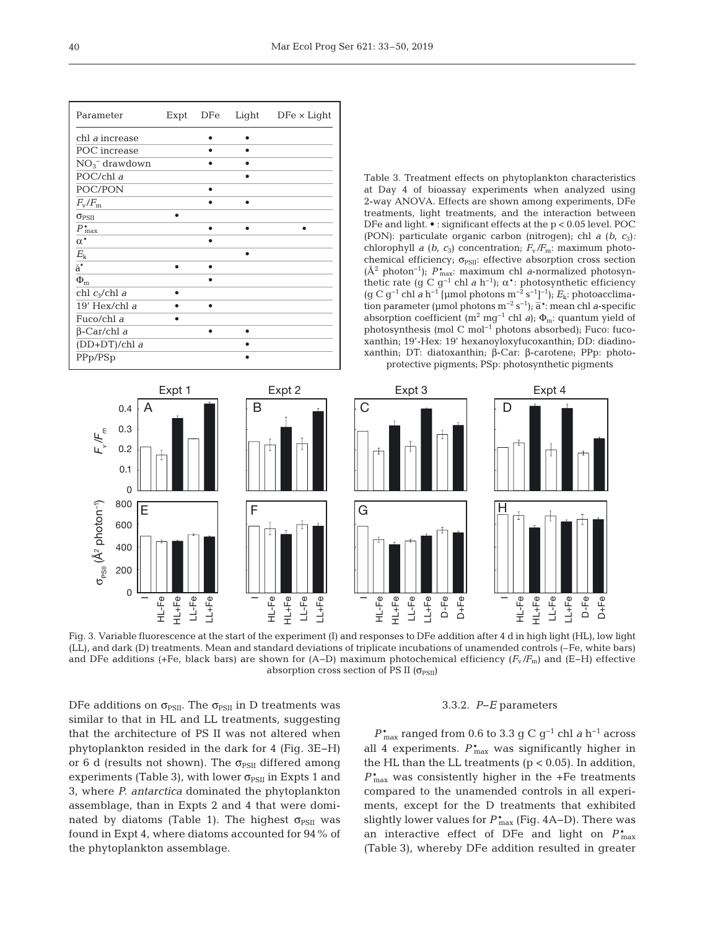| Parameter                   | Expt | DFe | Light | $DFe \times Light$ |
|-----------------------------|------|-----|-------|--------------------|
| chl <i>a</i> increase       |      |     |       |                    |
| POC increase                |      |     |       |                    |
| $NO3-$ drawdown             |      |     |       |                    |
| POC/chl a                   |      |     |       |                    |
| POC/PON                     |      | ٠   |       |                    |
| $F_{\rm v}/F_{\rm m}$       |      |     |       |                    |
| $\sigma_{PSII}$             | ٠    |     |       |                    |
| $P_{\max}^*$                |      |     |       |                    |
| $\alpha^*$                  |      | ٠   |       |                    |
| $E_{\rm k}$                 |      |     | ٠     |                    |
| $\overline{\overline{a}}^*$ |      | ٠   |       |                    |
| $\Phi_{\rm m}$              |      | ٠   |       |                    |
| chl $c_3$ /chl a            |      |     |       |                    |
| $19'$ Hex/chl $a$           |      |     |       |                    |
| Fuco/chl a                  |      |     |       |                    |
| $\beta$ -Car/chl a          |      |     |       |                    |
| (DD+DT)/chl a               |      |     | ٠     |                    |
| PPp/PSp                     |      |     |       |                    |

Table 3. Treatment effects on phytoplankton characteristics at Day 4 of bioassay experiments when analyzed using 2-way ANOVA. Effects are shown among experiments, DFe treatments, light treatments, and the interaction between DFe and light. • : significant effects at the p < 0.05 level. POC (PON): particulate organic carbon (nitrogen); chl *a* (*b*, *c*3)*:* chlorophyll *a* (*b*,  $c_3$ ) concentration;  $F_v/F_m$ : maximum photochemical efficiency;  $\sigma_{PSII}$ : effective absorption cross section (Å2 photon−1); *P*\* max: maximum chl *a*-normalized photosynthetic rate (g C  $g^{-1}$  chl *a* h<sup>-1</sup>);  $\alpha^*$ : photosynthetic efficiency (g C g−1 chl *a* h−1 [μmol photons m−2 s−1] −1); *E*k: photoacclimation parameter (μmol photons m−2 s−1); a`\*: mean chl *a*-specific absorption coefficient (m<sup>2</sup> mg<sup>-1</sup> chl *a*);  $\Phi_m$ : quantum yield of photosynthesis (mol C mol−1 photons absorbed); Fuco: fucoxanthin; 19'-Hex: 19' hexanoyloxyfucoxanthin; DD: diadinoxanthin; DT: diatoxanthin; β-Car: β-carotene; PPp: photoprotective pigments; PSp: photosynthetic pigments



Fig. 3. Variable fluorescence at the start of the experiment (I) and responses to DFe addition after 4 d in high light (HL), low light (LL), and dark (D) treatments. Mean and standard deviations of triplicate incubations of unamended controls (–Fe, white bars) and DFe additions (+Fe, black bars) are shown for (A−D) maximum photochemical efficiency (*F*v*/F*m) and (E−H) effective absorption cross section of PS II  $(\sigma_{PSII})$ 

DFe additions on  $\sigma_{PSII}$ . The  $\sigma_{PSII}$  in D treatments was similar to that in HL and LL treatments, suggesting that the architecture of PS II was not altered when phytoplankton resided in the dark for 4 (Fig. 3E−H) or 6 d (results not shown). The  $\sigma_{PSII}$  differed among experiments (Table 3), with lower  $\sigma_{PSII}$  in Expts 1 and 3, where *P. antarctica* dominated the phytoplankton assemblage, than in Expts 2 and 4 that were dominated by diatoms (Table 1). The highest  $\sigma_{PSII}$  was found in Expt 4, where diatoms accounted for 94% of the phytoplankton assemblage.

#### 3.3.2. *P*−*E* parameters

*P*\* max ranged from 0.6 to 3.3 g C g−1 chl *a* h−1 across all 4 experiments.  $P_{\text{max}}^*$  was significantly higher in the HL than the LL treatments  $(p < 0.05)$ . In addition, *P*\* max was consistently higher in the +Fe treatments compared to the unamended controls in all experiments, except for the D treatments that exhibited slightly lower values for  $P_{\text{max}}^*$  (Fig. 4A–D). There was an interactive effect of DFe and light on *P*\* max (Table 3), whereby DFe addition resulted in greater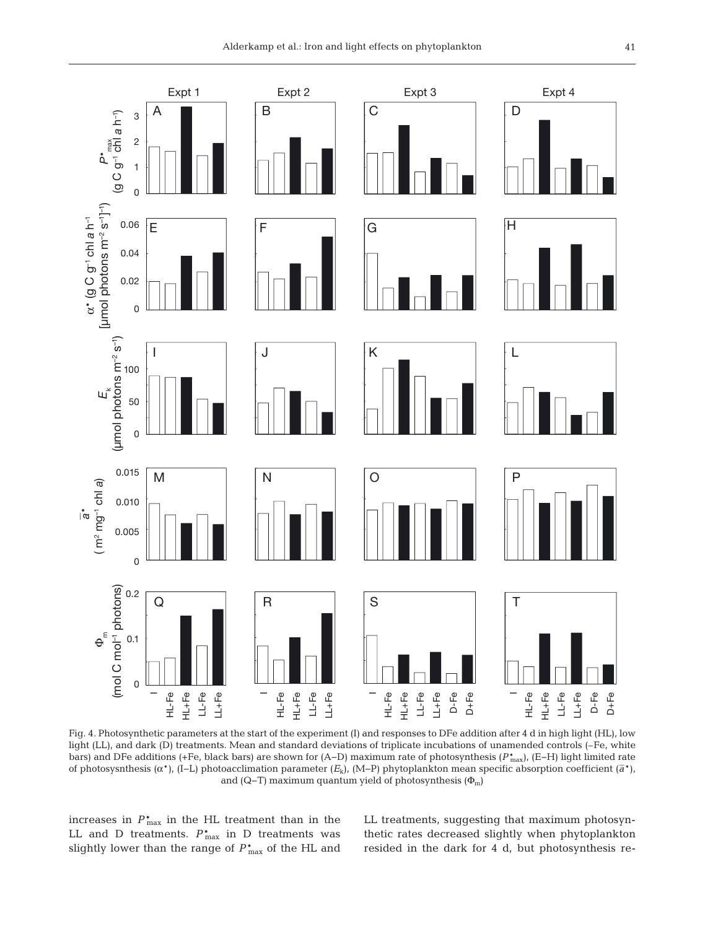

Fig. 4. Photosynthetic parameters at the start of the experiment (I) and responses to DFe addition after 4 d in high light (HL), low light (LL), and dark (D) treatments. Mean and standard deviations of triplicate incubations of unamended controls (–Fe, white bars) and DFe additions (+Fe, black bars) are shown for (A−D) maximum rate of photosynthesis (*P*\* max), (E−H) light limited rate of photosysnthesis (α\*), (I−L) photoacclimation parameter (*E*k), (M−P) phytoplankton mean specific absorption coefficient (*a*`\*), and (Q–T) maximum quantum yield of photosynthesis  $(\Phi_m)$ 

increases in  $P_{\text{max}}^*$  in the HL treatment than in the LL and D treatments.  $P_{\text{max}}^*$  in D treatments was slightly lower than the range of  $P_{\rm max}^*$  of the HL and LL treatments, suggesting that maximum photosynthetic rates decreased slightly when phytoplankton resided in the dark for 4 d, but photosynthesis re -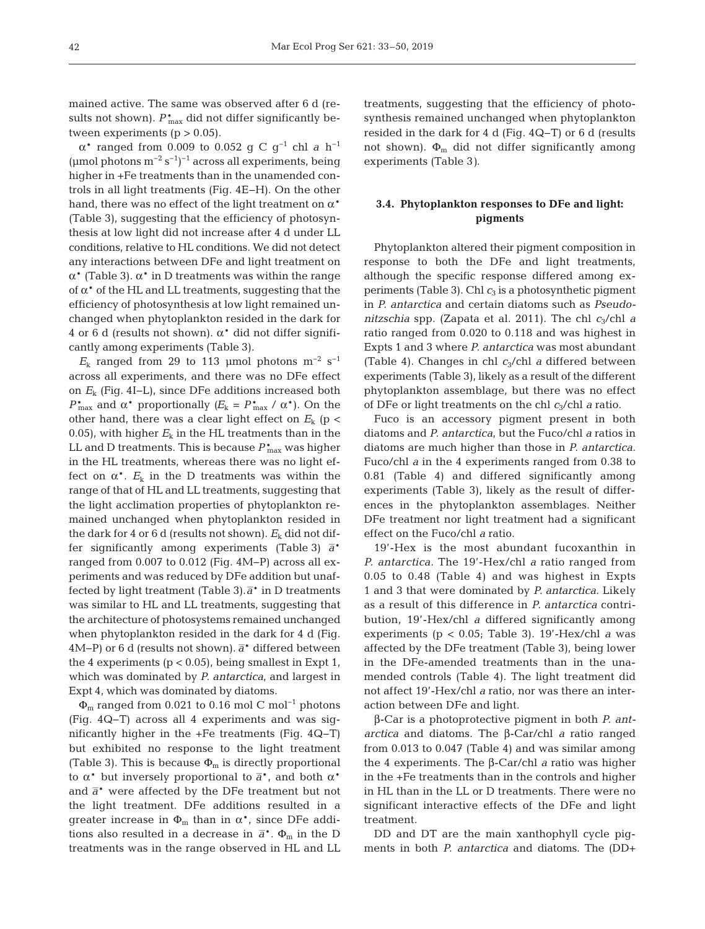mained active. The same was observed after 6 d (results not shown).  $P_{\text{max}}^*$  did not differ significantly between experiments  $(p > 0.05)$ .

α\* ranged from 0.009 to 0.052 g C g−1 chl *a* h−1 (µmol photons  $m^{-2} s^{-1}$ )<sup>-1</sup> across all experiments, being higher in +Fe treatments than in the unamended controls in all light treatments (Fig. 4E−H). On the other hand, there was no effect of the light treatment on  $\alpha^*$ (Table 3), suggesting that the efficiency of photosynthesis at low light did not increase after 4 d under LL conditions, relative to HL conditions. We did not detect any interactions between DFe and light treatment on α\* (Table 3). α\* in D treatments was within the range of  $α*$  of the HL and LL treatments, suggesting that the efficiency of photosynthesis at low light remained unchanged when phytoplankton resided in the dark for 4 or 6 d (results not shown).  $\alpha^*$  did not differ significantly among experiments (Table 3).

 $E_k$  ranged from 29 to 113 µmol photons m<sup>-2</sup> s<sup>-1</sup> across all experiments, and there was no DFe effect on *E*<sup>k</sup> (Fig. 4I−L), since DFe additions increased both *P*<sup>\*</sup><sub>max</sub> and α<sup>\*</sup> proportionally *(E<sub>k</sub>* = *P*<sup>\*</sup><sub>max</sub> / α<sup>\*</sup>). On the other hand, there was a clear light effect on  $E_k$  (p < 0.05), with higher  $E_k$  in the HL treatments than in the LL and D treatments. This is because *P*\* max was higher in the HL treatments, whereas there was no light effect on  $\alpha^*$ .  $E_k$  in the D treatments was within the range of that of HL and LL treatments, suggesting that the light acclimation properties of phytoplankton remained unchanged when phytoplankton resided in the dark for 4 or 6 d (results not shown).  $E_k$  did not differ significantly among experiments (Table 3)  $\bar{a}^*$ ranged from 0.007 to 0.012 (Fig. 4M−P) across all experiments and was reduced by DFe addition but unaffected by light treatment (Table 3). $\overline{a}^*$  in D treatments was similar to HL and LL treatments, suggesting that the architecture of photosystems remained unchanged when phytoplankton resided in the dark for 4 d (Fig. 4M−P) or 6 d (results not shown).  $\bar{a}^*$  differed between the 4 experiments ( $p < 0.05$ ), being smallest in Expt 1, which was dominated by *P. antarctica*, and largest in Expt 4, which was dominated by diatoms.

 $\Phi_{\rm m}$  ranged from 0.021 to 0.16 mol C mol<sup>-1</sup> photons (Fig. 4Q−T) across all 4 experiments and was sig nificantly higher in the +Fe treatments (Fig. 4Q−T) but exhibited no response to the light treatment (Table 3). This is because  $\Phi_{\rm m}$  is directly proportional to  $\alpha^*$  but inversely proportional to  $\overline{a}^*$ , and both  $\alpha^*$ and  $\bar{a}^*$  were affected by the DFe treatment but not the light treatment. DFe additions resulted in a greater increase in  $\Phi_{\rm m}$  than in  $\alpha^*$ , since DFe additions also resulted in a decrease in  $\bar{a}^*$ .  $\Phi_m$  in the D treatments was in the range observed in HL and LL treatments, suggesting that the efficiency of photosynthesis remained unchanged when phytoplankton resided in the dark for 4 d (Fig. 4Q−T) or 6 d (results not shown).  $\Phi_{\rm m}$  did not differ significantly among experiments (Table 3*).*

## **3.4. Phytoplankton responses to DFe and light: pigments**

Phytoplankton altered their pigment composition in response to both the DFe and light treatments, although the specific response differed among experiments (Table 3). Chl  $c_3$  is a photosynthetic pigment in *P. antarctica* and certain diatoms such as *Pseudonitzschia* spp. (Zapata et al. 2011). The chl *c*3/chl *a* ratio ranged from 0.020 to 0.118 and was highest in Expts 1 and 3 where *P. antarctica* was most abundant (Table 4). Changes in chl *c*3/chl *a* differed between experiments (Table 3), likely as a result of the different phytoplankton assemblage, but there was no effect of DFe or light treatments on the chl *c*3/chl *a* ratio.

Fuco is an accessory pigment present in both diatoms and *P. antarctica*, but the Fuco/chl *a* ratios in diatoms are much higher than those in *P. antarctica.* Fuco/chl *a* in the 4 experiments ranged from 0.38 to 0.81 (Table 4) and differed significantly among experiments (Table 3), likely as the result of differences in the phytoplankton assemblages. Neither DFe treatment nor light treatment had a significant effect on the Fuco/chl *a* ratio.

19'-Hex is the most abundant fucoxanthin in *P. antarctica.* The 19'-Hex/chl *a* ratio ranged from 0.05 to 0.48 (Table 4) and was highest in Expts 1 and 3 that were dominated by *P. antarctica.* Likely as a result of this difference in *P. antarctica* contribution, 19'-Hex/chl *a* differed significantly among experiments ( $p < 0.05$ ; Table 3). 19'-Hex/chl *a* was affected by the DFe treatment (Table 3), being lower in the DFe-amended treatments than in the unamended controls (Table 4). The light treatment did not affect 19'-Hex/chl *a* ratio, nor was there an interaction between DFe and light.

β-Car is a photoprotective pigment in both *P. ant arctica* and diatoms. The β-Car/chl *a* ratio ranged from 0.013 to 0.047 (Table 4) and was similar among the 4 experiments. The β-Car/chl *a* ratio was higher in the +Fe treatments than in the controls and higher in HL than in the LL or D treatments. There were no significant interactive effects of the DFe and light treatment.

DD and DT are the main xanthophyll cycle pigments in both *P. antarctica* and diatoms. The (DD+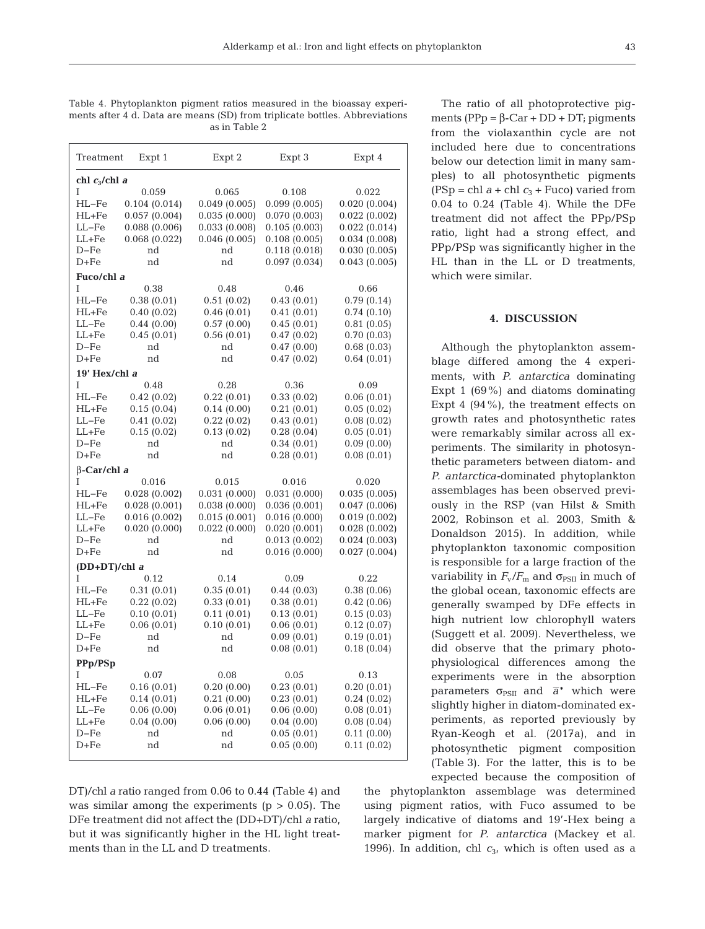Table 4. Phytoplankton pigment ratios measured in the bioassay experiments after 4 d. Data are means (SD) from triplicate bottles. Abbreviations as in Table 2

| Treatment          | Expt 1           | Expt 2       | Expt 3       | Expt 4       |  |  |
|--------------------|------------------|--------------|--------------|--------------|--|--|
|                    | chl $c_3$ /chl a |              |              |              |  |  |
| I                  | 0.059            | 0.065        | 0.108        | 0.022        |  |  |
| HL-Fe              | 0.104(0.014)     | 0.049(0.005) | 0.099(0.005) | 0.020(0.004) |  |  |
| $HL + Fe$          | 0.057(0.004)     | 0.035(0.000) | 0.070(0.003) | 0.022(0.002) |  |  |
| $LL-Fe$            | 0.088(0.006)     | 0.033(0.008) | 0.105(0.003) | 0.022(0.014) |  |  |
| $LL + Fe$          | 0.068(0.022)     | 0.046(0.005) | 0.108(0.005) | 0.034(0.008) |  |  |
| $D-Fe$             | nd               | nd           | 0.118(0.018) | 0.030(0.005) |  |  |
| $D + Fe$           | nd               | nd           | 0.097(0.034) | 0.043(0.005) |  |  |
| Fuco/chl a         |                  |              |              |              |  |  |
| T                  | 0.38             | 0.48         | 0.46         | 0.66         |  |  |
| HL-Fe              | 0.38(0.01)       | 0.51(0.02)   | 0.43(0.01)   | 0.79(0.14)   |  |  |
| HL+Fe              | 0.40(0.02)       | 0.46(0.01)   | 0.41(0.01)   | 0.74(0.10)   |  |  |
| LL-Fe              | 0.44(0.00)       | 0.57(0.00)   | 0.45(0.01)   | 0.81(0.05)   |  |  |
| $LL + Fe$          | 0.45(0.01)       | 0.56(0.01)   | 0.47(0.02)   | 0.70(0.03)   |  |  |
| $D-Fe$             | nd               | nd           | 0.47(0.00)   | 0.68(0.03)   |  |  |
| $D + Fe$           | nd               | nd           | 0.47(0.02)   | 0.64(0.01)   |  |  |
| 19' Hex/chl a      |                  |              |              |              |  |  |
| T                  | 0.48             | 0.28         | 0.36         | 0.09         |  |  |
| $HL-Fe$            | 0.42(0.02)       | 0.22(0.01)   | 0.33(0.02)   | 0.06(0.01)   |  |  |
| HL+Fe              | 0.15(0.04)       | 0.14(0.00)   | 0.21(0.01)   | 0.05(0.02)   |  |  |
| $LL-Fe$            | 0.41(0.02)       | 0.22(0.02)   | 0.43(0.01)   | 0.08(0.02)   |  |  |
| $LL + Fe$          | 0.15(0.02)       | 0.13(0.02)   | 0.28(0.04)   | 0.05(0.01)   |  |  |
| $D-Fe$             | nd               | nd           | 0.34(0.01)   | 0.09(0.00)   |  |  |
| $D + Fe$           | nd               | nd           | 0.28(0.01)   | 0.08(0.01)   |  |  |
| $\beta$ -Car/chl a |                  |              |              |              |  |  |
| T                  | 0.016            | 0.015        | 0.016        | 0.020        |  |  |
| $HL-Fe$            | 0.028(0.002)     | 0.031(0.000) | 0.031(0.000) | 0.035(0.005) |  |  |
| $HL + Fe$          | 0.028(0.001)     | 0.038(0.000) | 0.036(0.001) | 0.047(0.006) |  |  |
| $LL-Fe$            | 0.016(0.002)     | 0.015(0.001) | 0.016(0.000) | 0.019(0.002) |  |  |
| $LL + Fe$          | 0.020(0.000)     | 0.022(0.000) | 0.020(0.001) | 0.028(0.002) |  |  |
| $D-Fe$             | nd               | nd           | 0.013(0.002) | 0.024(0.003) |  |  |
| $D + Fe$           | nd               | nd           | 0.016(0.000) | 0.027(0.004) |  |  |
| $(DD+DT)/ch1a$     |                  |              |              |              |  |  |
| I                  | 0.12             | 0.14         | 0.09         | 0.22         |  |  |
| HL-Fe              | 0.31(0.01)       | 0.35(0.01)   | 0.44(0.03)   | 0.38(0.06)   |  |  |
| $HL + Fe$          | 0.22(0.02)       | 0.33(0.01)   | 0.38(0.01)   | 0.42(0.06)   |  |  |
| LL-Fe              | 0.10(0.01)       | 0.11(0.01)   | 0.13(0.01)   | 0.15(0.03)   |  |  |
| $LL + Fe$          | 0.06(0.01)       | 0.10(0.01)   | 0.06(0.01)   | 0.12(0.07)   |  |  |
| $D-Fe$             | nd               | nd           | 0.09(0.01)   | 0.19(0.01)   |  |  |
| $D + Fe$           | nd               | nd           | 0.08(0.01)   | 0.18(0.04)   |  |  |
| PPp/PSp            |                  |              |              |              |  |  |
| I                  | 0.07             | 0.08         | 0.05         | 0.13         |  |  |
| HL-Fe              | 0.16(0.01)       | 0.20(0.00)   | 0.23(0.01)   | 0.20(0.01)   |  |  |
| $HL + Fe$          | 0.14(0.01)       | 0.21(0.00)   | 0.23(0.01)   | 0.24(0.02)   |  |  |
| $LL-Fe$            | 0.06(0.00)       | 0.06(0.01)   | 0.06(0.00)   | 0.08(0.01)   |  |  |
| $LL + Fe$          | 0.04(0.00)       | 0.06(0.00)   | 0.04(0.00)   | 0.08(0.04)   |  |  |
| $D-Fe$             | nd               | nd           | 0.05(0.01)   | 0.11(0.00)   |  |  |
| $D + Fe$           | nd               | nd           | 0.05(0.00)   | 0.11(0.02)   |  |  |
|                    |                  |              |              |              |  |  |

DT)/chl *a* ratio ranged from 0.06 to 0.44 (Table 4) and was similar among the experiments ( $p > 0.05$ ). The DFe treatment did not affect the (DD+DT)/chl *a* ratio, but it was significantly higher in the HL light treatments than in the LL and D treatments.

The ratio of all photoprotective pigments ( $PPP = β-Car + DD + DT$ ; pigments from the violaxanthin cycle are not included here due to concentrations below our detection limit in many samples) to all photosynthetic pigments  $(PSp = chl a + chl c<sub>3</sub> + Fuco)$  varied from 0.04 to 0.24 (Table 4). While the DFe treatment did not affect the PPp/PSp ratio, light had a strong effect, and PPp/PSp was significantly higher in the HL than in the LL or D treatments, which were similar.

### **4. DISCUSSION**

Although the phytoplankton assemblage differed among the 4 experiments, with *P. antarctica* dominating Expt 1  $(69\%)$  and diatoms dominating Expt 4 (94%), the treatment effects on growth rates and photosynthetic rates were remarkably similar across all experiments. The similarity in photosynthetic parameters between diatom- and *P. antarctica-*dominated phytoplankton assemblages has been observed previously in the RSP (van Hilst & Smith 2002, Robinson et al. 2003, Smith & Donaldson 2015). In addition, while phytoplankton taxonomic composition is responsible for a large fraction of the variability in  $F_{\rm v}/F_{\rm m}$  and  $\sigma_{\rm PSII}$  in much of the global ocean, taxonomic effects are generally swamped by DFe effects in high nutrient low chlorophyll waters (Suggett et al. 2009). Nevertheless, we did observe that the primary photophysiological differences among the experiments were in the absorption parameters  $\sigma_{PSII}$  and  $\bar{a}^*$  which were slightly higher in diatom-dominated ex periments, as reported previously by Ryan-Keogh et al. (2017a), and in photosynthetic pigment composition (Table 3). For the latter, this is to be expected because the composition of

the phytoplankton assemblage was determined using pigment ratios, with Fuco assumed to be largely indicative of diatoms and 19'-Hex being a marker pigment for *P. antarctica* (Mackey et al. 1996). In addition, chl  $c_3$ , which is often used as a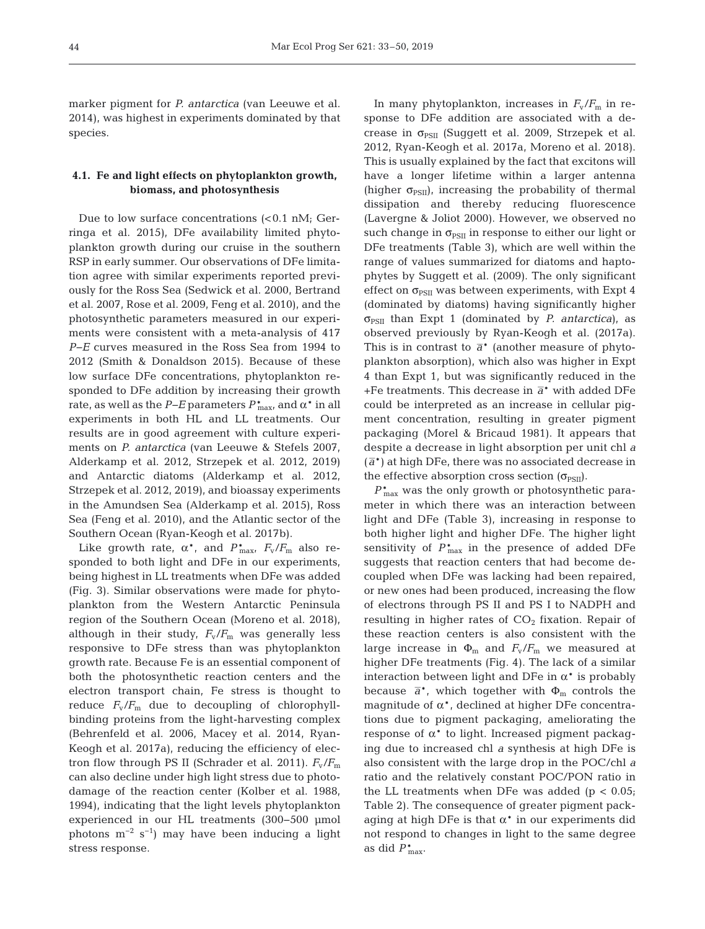marker pigment for *P. antarctica* (van Leeuwe et al. 2014), was highest in experiments dominated by that species.

## **4.1. Fe and light effects on phytoplankton growth, biomass, and photosynthesis**

Due to low surface concentrations  $\langle$ <0.1 nM; Gerringa et al. 2015), DFe availability limited phytoplankton growth during our cruise in the southern RSP in early summer. Our observations of DFe limitation agree with similar experiments reported previously for the Ross Sea (Sedwick et al. 2000, Bertrand et al. 2007, Rose et al. 2009, Feng et al. 2010), and the photosynthetic parameters measured in our experiments were consistent with a meta-analysis of 417 *P−E* curves measured in the Ross Sea from 1994 to 2012 (Smith & Donaldson 2015). Because of these low surface DFe concentrations, phytoplankton responded to DFe addition by increasing their growth rate, as well as the *P−E* parameters  $P_{\text{max}}^{*}$ , and  $\alpha^{*}$  in all experiments in both HL and LL treatments. Our results are in good agreement with culture experiments on *P. antarctica* (van Leeuwe & Stefels 2007, Alderkamp et al. 2012, Strzepek et al. 2012, 2019) and Antarctic diatoms (Alderkamp et al. 2012, Strzepek et al. 2012, 2019), and bioassay experiments in the Amundsen Sea (Alderkamp et al. 2015), Ross Sea (Feng et al. 2010), and the Atlantic sector of the Southern Ocean (Ryan-Keogh et al. 2017b).

Like growth rate,  $\alpha^*$ , and  $P_{\text{max}}^*$ ,  $F_{\text{v}}/F_{\text{m}}$  also responded to both light and DFe in our experiments, being highest in LL treatments when DFe was added (Fig. 3). Similar observations were made for phytoplankton from the Western Antarctic Peninsula region of the Southern Ocean (Moreno et al. 2018), although in their study,  $F_v/F_m$  was generally less responsive to DFe stress than was phytoplankton growth rate. Because Fe is an essential component of both the photosynthetic reaction centers and the electron transport chain, Fe stress is thought to reduce  $F_v/F_m$  due to decoupling of chlorophyllbinding proteins from the light-harvesting complex (Behrenfeld et al. 2006, Macey et al. 2014, Ryan-Keogh et al. 2017a), reducing the efficiency of electron flow through PS II (Schrader et al. 2011).  $F_v/F_m$ can also decline under high light stress due to photodamage of the reaction center (Kolber et al. 1988, 1994), indicating that the light levels phytoplankton experienced in our HL treatments (300−500 μmol photons  $m^{-2}$  s<sup>-1</sup>) may have been inducing a light stress response.

In many phytoplankton, increases in  $F_v/F_m$  in response to DFe addition are associated with a decrease in  $\sigma_{PSII}$  (Suggett et al. 2009, Strzepek et al. 2012, Ryan-Keogh et al. 2017a, Moreno et al. 2018). This is usually explained by the fact that excitons will have a longer lifetime within a larger antenna (higher  $\sigma_{PSII}$ ), increasing the probability of thermal dissipation and thereby reducing fluorescence (Lavergne & Joliot 2000). However, we observed no such change in  $\sigma_{PSII}$  in response to either our light or DFe treatments (Table 3), which are well within the range of values summarized for diatoms and haptophytes by Suggett et al. (2009). The only significant effect on  $\sigma_{PSII}$  was between experiments, with Expt 4 (dominated by diatoms) having significantly higher  $\sigma_{PSII}$  than Expt 1 (dominated by *P. antarctica*), as observed previously by Ryan-Keogh et al. (2017a). This is in contrast to  $\bar{a}^*$  (another measure of phytoplankton absorption), which also was higher in Expt 4 than Expt 1, but was significantly reduced in the +Fe treatments. This decrease in  $\bar{a}^*$  with added DFe could be interpreted as an increase in cellular pigment concentration, resulting in greater pigment packaging (Morel & Bricaud 1981). It appears that despite a decrease in light absorption per unit chl *a*  $(\bar{a}^*)$  at high DFe, there was no associated decrease in the effective absorption cross section  $(\sigma_{PSII})$ .

 $P_{\mathrm{max}}^*$  was the only growth or photosynthetic parameter in which there was an interaction between light and DFe (Table 3), increasing in response to both higher light and higher DFe. The higher light sensitivity of  $P_{\text{max}}^*$  in the presence of added DFe suggests that reaction centers that had become de coupled when DFe was lacking had been repaired, or new ones had been produced, increasing the flow of electrons through PS II and PS I to NADPH and resulting in higher rates of  $CO<sub>2</sub>$  fixation. Repair of these reaction centers is also consistent with the large increase in  $\Phi_{\rm m}$  and  $F_{\rm v}/F_{\rm m}$  we measured at higher DFe treatments (Fig. 4). The lack of a similar interaction between light and DFe in  $\alpha^*$  is probably because  $\bar{a}^*$ , which together with  $\Phi_m$  controls the magnitude of  $\alpha^*$ , declined at higher DFe concentrations due to pigment packaging, ameliorating the response of  $\alpha^*$  to light. Increased pigment packaging due to increased chl *a* synthesis at high DFe is also consistent with the large drop in the POC/chl *a* ratio and the relatively constant POC/PON ratio in the LL treatments when DFe was added  $(p < 0.05)$ ; Table 2). The consequence of greater pigment packaging at high DFe is that  $\alpha^*$  in our experiments did not respond to changes in light to the same degree as did  $P_{\text{max}}^*$ .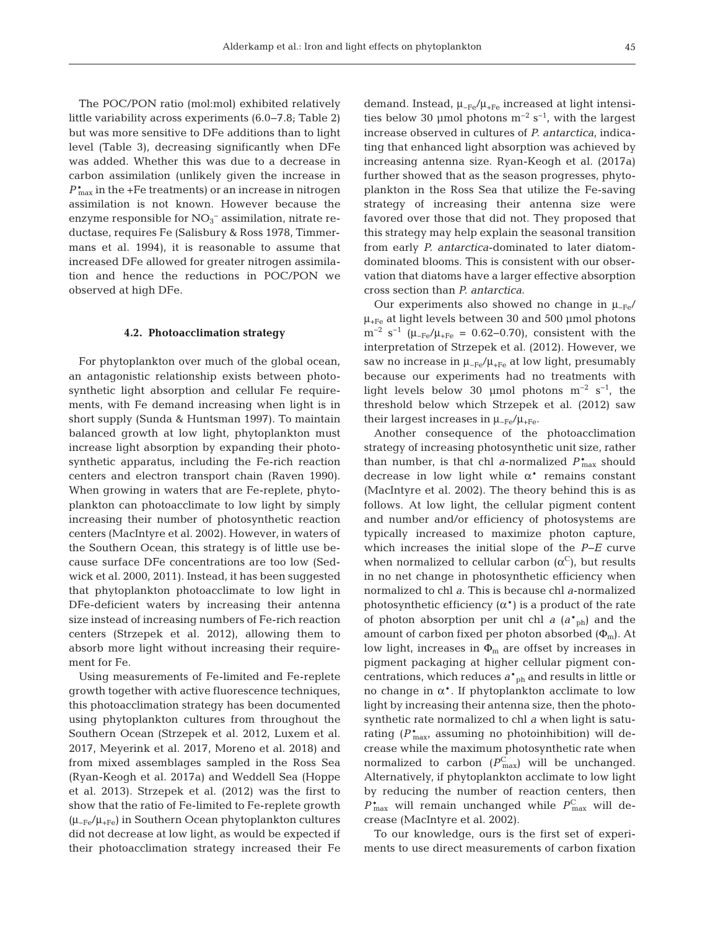The POC/PON ratio (mol:mol) exhibited relatively little variability across experiments (6.0−7.8; Table 2) but was more sensitive to DFe additions than to light level (Table 3), decreasing significantly when DFe was added. Whether this was due to a decrease in carbon assimilation (unlikely given the increase in  $P_{\text{max}}^*$  in the +Fe treatments) or an increase in nitrogen assimilation is not known. However because the enzyme responsible for  $NO<sub>3</sub><sup>-</sup>$  assimilation, nitrate reductase, requires Fe (Salisbury & Ross 1978, Timmermans et al. 1994), it is reasonable to assume that increased DFe allowed for greater nitrogen assimilation and hence the reductions in POC/PON we observed at high DFe.

#### **4.2. Photoacclimation strategy**

For phytoplankton over much of the global ocean, an antagonistic relationship exists between photosynthetic light absorption and cellular Fe requirements, with Fe demand increasing when light is in short supply (Sunda & Huntsman 1997). To maintain balanced growth at low light, phytoplankton must increase light absorption by expanding their photosynthetic apparatus, including the Fe-rich reaction centers and electron transport chain (Raven 1990). When growing in waters that are Fe-replete, phytoplankton can photoacclimate to low light by simply increasing their number of photosynthetic reaction centers (MacIntyre et al. 2002). However, in waters of the Southern Ocean, this strategy is of little use be cause surface DFe concentrations are too low (Sed wick et al. 2000, 2011). Instead, it has been suggested that phytoplankton photoacclimate to low light in DFe-deficient waters by increasing their antenna size instead of increasing numbers of Fe-rich reaction centers (Strzepek et al. 2012), allowing them to absorb more light without increasing their requirement for Fe.

Using measurements of Fe-limited and Fe-replete growth together with active fluorescence techniques, this photoacclimation strategy has been documented using phytoplankton cultures from throughout the Southern Ocean (Strzepek et al. 2012, Luxem et al. 2017, Meyerink et al. 2017, Moreno et al. 2018) and from mixed assemblages sampled in the Ross Sea (Ryan-Keogh et al. 2017a) and Weddell Sea (Hoppe et al. 2013). Strzepek et al. (2012) was the first to show that the ratio of Fe-limited to Fe-replete growth  $(\mu_{-Fe}/\mu_{+Fe})$  in Southern Ocean phytoplankton cultures did not decrease at low light, as would be expected if their photoacclimation strategy increased their Fe demand. Instead,  $\mu_{-Fe}/\mu_{+Fe}$  increased at light intensities below 30 µmol photons  $m^{-2}$  s<sup>-1</sup>, with the largest increase observed in cultures of *P. antarctica*, indicating that enhanced light absorption was achieved by increasing antenna size. Ryan-Keogh et al. (2017a) further showed that as the season progresses, phytoplankton in the Ross Sea that utilize the Fe-saving strategy of increasing their antenna size were favored over those that did not. They proposed that this strategy may help explain the seasonal transition from early *P. antarctica*-dominated to later diatomdominated blooms. This is consistent with our observation that diatoms have a larger effective absorption cross section than *P. antarctica*.

Our experiments also showed no change in  $\mu_{-Fe}$ /  $\mu$ <sub>+Fe</sub> at light levels between 30 and 500 µmol photons  $m^{-2}$  s<sup>-1</sup> ( $\mu_{-Fe}/\mu_{+Fe}$  = 0.62–0.70), consistent with the interpretation of Strzepek et al. (2012). However, we saw no increase in  $\mu_{-Fe}/\mu_{+Fe}$  at low light, presumably because our experiments had no treatments with light levels below 30 µmol photons  $m^{-2}$  s<sup>-1</sup>, the threshold below which Strzepek et al. (2012) saw their largest increases in  $\mu_{-Fe}/\mu_{+Fe}$ .

Another consequence of the photoacclimation strategy of increasing photosynthetic unit size, rather than number, is that chl *a*-normalized *P*\* max should decrease in low light while  $\alpha^*$  remains constant (MacIntyre et al. 2002). The theory behind this is as follows. At low light, the cellular pigment content and number and/or efficiency of photosystems are typically increased to maximize photon capture, which increases the initial slope of the *P−E* curve when normalized to cellular carbon  $(\alpha^C)$ , but results in no net change in photosynthetic efficiency when normalized to chl *a*. This is because chl *a*-normalized photosynthetic efficiency  $(\alpha^*)$  is a product of the rate of photon absorption per unit chl  $a(a^*_{ph})$  and the amount of carbon fixed per photon absorbed  $(\Phi_m)$ . At low light, increases in  $\Phi_m$  are offset by increases in pigment packaging at higher cellular pigment concentrations, which reduces  $a^*$ <sub>ph</sub> and results in little or no change in  $\alpha^*$ . If phytoplankton acclimate to low light by increasing their antenna size, then the photosynthetic rate normalized to chl *a* when light is saturating  $(P_{\text{max}}^{\ast})$  assuming no photoinhibition) will decrease while the maximum photosynthetic rate when normalized to carbon  $(P_{\text{max}}^C)$  will be unchanged. Alternatively, if phytoplankton acclimate to low light by reducing the number of reaction centers, then  $P_{\text{max}}^*$  will remain unchanged while  $P_{\text{max}}^C$  will decrease (MacIntyre et al. 2002).

To our knowledge, ours is the first set of experiments to use direct measurements of carbon fixation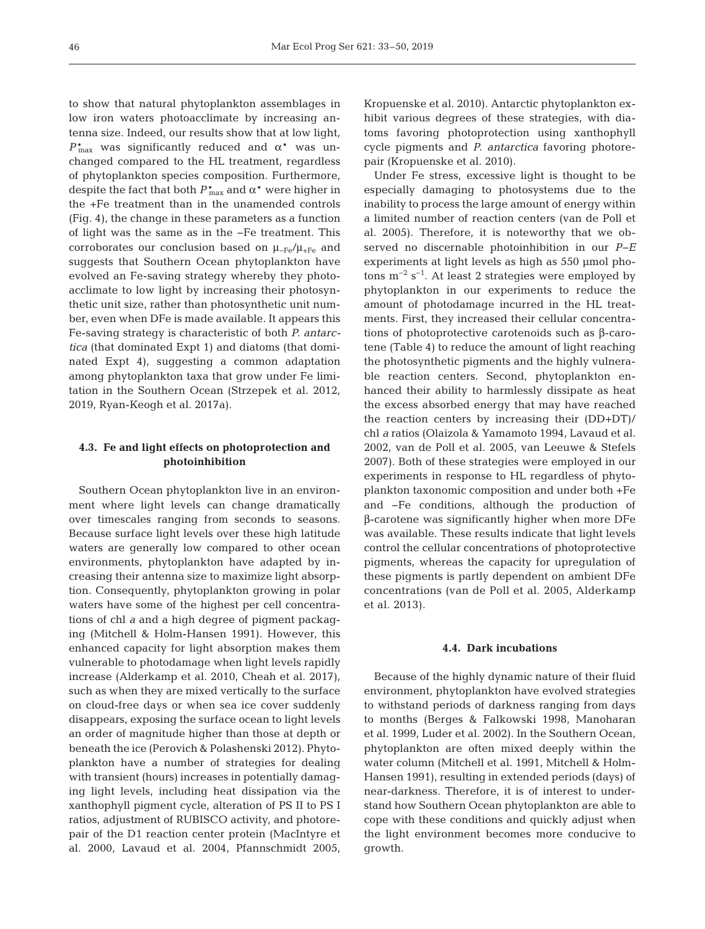to show that natural phytoplankton assemblages in low iron waters photoacclimate by increasing antenna size. Indeed, our results show that at low light,  $P_{\text{max}}^*$  was significantly reduced and  $\alpha^*$  was unchanged compared to the HL treatment, regardless of phytoplankton species composition. Furthermore, despite the fact that both  $P_{\text{max}}^*$  and  $\alpha^*$  were higher in the +Fe treatment than in the unamended controls (Fig. 4), the change in these parameters as a function of light was the same as in the −Fe treatment. This corroborates our conclusion based on  $\mu_{-Fe}/\mu_{+Fe}$  and suggests that Southern Ocean phytoplankton have evolved an Fe-saving strategy whereby they photoacclimate to low light by increasing their photosynthetic unit size, rather than photosynthetic unit number, even when DFe is made available. It appears this Fe-saving strategy is characteristic of both *P. antarctica* (that dominated Expt 1) and diatoms (that dominated Expt 4), suggesting a common adaptation among phytoplankton taxa that grow under Fe limitation in the Southern Ocean (Strzepek et al. 2012, 2019, Ryan-Keogh et al. 2017a).

## **4.3. Fe and light effects on photoprotection and photoinhibition**

Southern Ocean phytoplankton live in an environment where light levels can change dramatically over timescales ranging from seconds to seasons. Because surface light levels over these high latitude waters are generally low compared to other ocean environments, phytoplankton have adapted by increasing their antenna size to maximize light absorption. Consequently, phytoplankton growing in polar waters have some of the highest per cell concentrations of chl *a* and a high degree of pigment packaging (Mitchell & Holm-Hansen 1991). However, this enhanced capacity for light absorption makes them vulnerable to photodamage when light levels rapidly increase (Alderkamp et al. 2010, Cheah et al. 2017), such as when they are mixed vertically to the surface on cloud-free days or when sea ice cover suddenly disappears, exposing the surface ocean to light levels an order of magnitude higher than those at depth or beneath the ice (Perovich & Polashenski 2012). Phytoplankton have a number of strategies for dealing with transient (hours) increases in potentially damaging light levels, including heat dissipation via the xanthophyll pigment cycle, alteration of PS II to PS I ratios, adjustment of RUBISCO activity, and photorepair of the D1 reaction center protein (MacIntyre et al. 2000, Lavaud et al. 2004, Pfannschmidt 2005, Kropuenske et al. 2010). Antarctic phytoplankton exhibit various degrees of these strategies, with diatoms favoring photoprotection using xanthophyll cycle pigments and *P. antarctica* favoring photorepair (Kropuenske et al. 2010).

Under Fe stress, excessive light is thought to be especially damaging to photosystems due to the inability to process the large amount of energy within a limited number of reaction centers (van de Poll et al. 2005). Therefore, it is noteworthy that we observed no discernable photoinhibition in our *P−E* experiments at light levels as high as 550 μmol photons  $m^{-2}$  s<sup>-1</sup>. At least 2 strategies were employed by phytoplankton in our experiments to reduce the amount of photodamage incurred in the HL treatments. First, they increased their cellular concentrations of photoprotective carotenoids such as  $β$ -carotene (Table 4) to reduce the amount of light reaching the photosynthetic pigments and the highly vulnerable reaction centers. Second, phytoplankton enhanced their ability to harmlessly dissipate as heat the excess absorbed energy that may have reached the reaction centers by increasing their (DD+DT)/ chl *a* ratios (Olaizola & Yamamoto 1994, Lavaud et al. 2002, van de Poll et al. 2005, van Leeuwe & Stefels 2007). Both of these strategies were employed in our experiments in response to HL regardless of phytoplankton taxonomic composition and under both +Fe and −Fe conditions, although the production of β-carotene was significantly higher when more DFe was available. These results indicate that light levels control the cellular concentrations of photoprotective pigments, whereas the capacity for upregulation of these pigments is partly dependent on ambient DFe concentrations (van de Poll et al. 2005, Alderkamp et al. 2013).

#### **4.4. Dark incubations**

Because of the highly dynamic nature of their fluid environment, phytoplankton have evolved strategies to withstand periods of darkness ranging from days to months (Berges & Falkowski 1998, Manoharan et al. 1999, Luder et al. 2002). In the Southern Ocean, phytoplankton are often mixed deeply within the water column (Mitchell et al. 1991, Mitchell & Holm-Hansen 1991), resulting in extended periods (days) of near-darkness. Therefore, it is of interest to understand how Southern Ocean phytoplankton are able to cope with these conditions and quickly adjust when the light environment becomes more conducive to growth.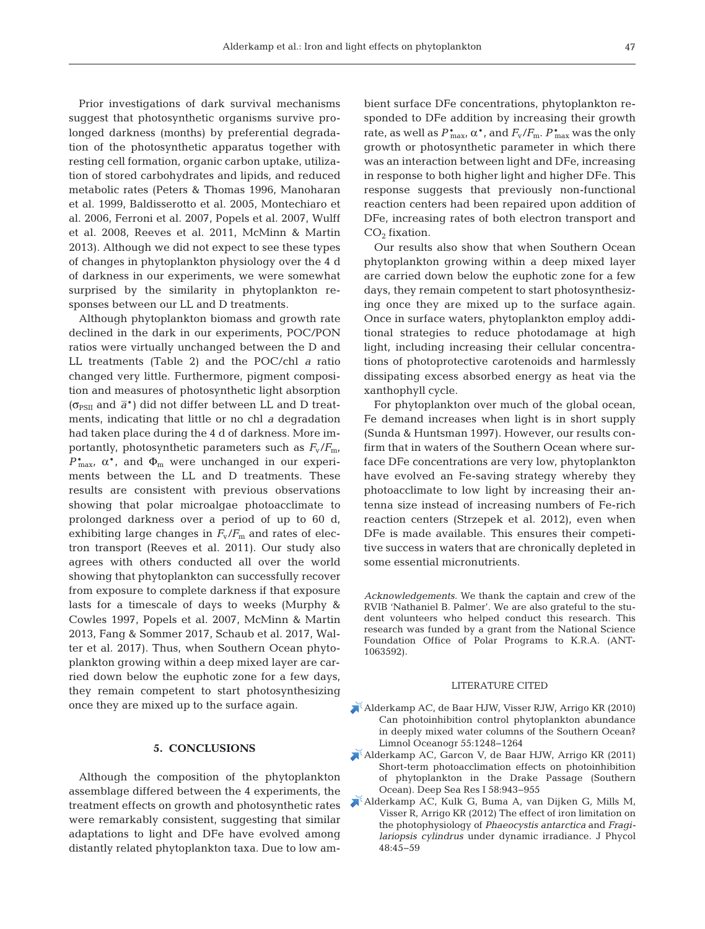Prior investigations of dark survival mechanisms suggest that photosynthetic organisms survive prolonged darkness (months) by preferential degradation of the photosynthetic apparatus together with resting cell formation, organic carbon uptake, utilization of stored carbohydrates and lipids, and reduced metabolic rates (Peters & Thomas 1996, Manoharan et al. 1999, Baldisserotto et al. 2005, Montechiaro et al. 2006, Ferroni et al. 2007, Popels et al. 2007, Wulff et al. 2008, Reeves et al. 2011, McMinn & Martin 2013). Although we did not expect to see these types of changes in phytoplankton physiology over the 4 d of darkness in our experiments, we were somewhat surprised by the similarity in phytoplankton responses between our LL and D treatments.

Although phytoplankton biomass and growth rate declined in the dark in our experiments, POC/PON ratios were virtually unchanged between the D and LL treatments (Table 2) and the POC/chl *a* ratio changed very little. Furthermore, pigment composition and measures of photosynthetic light absorption ( $\sigma_{PSII}$  and  $\bar{a}^*$ ) did not differ between LL and D treatments, indicating that little or no chl *a* degradation had taken place during the 4 d of darkness. More importantly, photosynthetic parameters such as  $F_v/F_{m}$ ,  $P_{\text{max}}^*$ ,  $\alpha^*$ , and  $\Phi_{\text{m}}$  were unchanged in our experiments between the LL and D treatments. These results are consistent with previous observations showing that polar microalgae photoacclimate to prolonged darkness over a period of up to  $60$  d, exhibiting large changes in  $F_v/F_m$  and rates of electron transport (Reeves et al. 2011). Our study also agrees with others conducted all over the world showing that phytoplankton can successfully recover from exposure to complete darkness if that exposure lasts for a timescale of days to weeks (Murphy & Cowles 1997, Popels et al. 2007, McMinn & Martin 2013, Fang & Sommer 2017, Schaub et al. 2017, Walter et al. 2017). Thus, when Southern Ocean phytoplankton growing within a deep mixed layer are carried down below the euphotic zone for a few days, they remain competent to start photosynthesizing once they are mixed up to the surface again.

## **5. CONCLUSIONS**

Although the composition of the phytoplankton assemblage differed between the 4 experiments, the treatment effects on growth and photosynthetic rates were remarkably consistent, suggesting that similar adaptations to light and DFe have evolved among distantly related phytoplankton taxa. Due to low am - bient surface DFe concentrations, phytoplankton responded to DFe addition by increasing their growth rate, as well as  $P_{\text{max}}^*$ ,  $\alpha^*$ , and  $F_{\text{v}}/F_{\text{m}}$ .  $P_{\text{max}}^*$  was the only growth or photosynthetic parameter in which there was an interaction between light and DFe, increasing in response to both higher light and higher DFe. This response suggests that previously non-functional reaction centers had been repaired upon addition of DFe, increasing rates of both electron transport and  $CO<sub>2</sub>$  fixation.

Our results also show that when Southern Ocean phytoplankton growing within a deep mixed layer are carried down below the euphotic zone for a few days, they remain competent to start photosynthesizing once they are mixed up to the surface again. Once in surface waters, phytoplankton employ additional strategies to reduce photodamage at high light, including increasing their cellular concentrations of photoprotective carotenoids and harmlessly dissipating excess absorbed energy as heat via the xanthophyll cycle.

For phytoplankton over much of the global ocean, Fe demand increases when light is in short supply (Sunda & Huntsman 1997). However, our results confirm that in waters of the Southern Ocean where surface DFe concentrations are very low, phytoplankton have evolved an Fe-saving strategy whereby they photoacclimate to low light by increasing their an tenna size instead of increasing numbers of Fe-rich reaction centers (Strzepek et al. 2012), even when DFe is made available. This ensures their competitive success in waters that are chronically depleted in some essential micronutrients.

*Acknowledgements.* We thank the captain and crew of the RVIB 'Nathaniel B. Palmer'. We are also grateful to the student volunteers who helped conduct this research. This research was funded by a grant from the National Science Foundation Office of Polar Programs to K.R.A. (ANT-1063592).

#### LITERATURE CITED

- [Alderkamp AC, de Baar HJW, Visser RJW, Arrigo KR \(2010\)](https://doi.org/10.4319/lo.2010.55.3.1248) Can photoinhibition control phytoplankton abundance in deeply mixed water columns of the Southern Ocean? Limnol Oceanogr 55: 1248−1264
- [Alderkamp AC, Garcon V, de Baar HJW, Arrigo KR \(2011\)](https://doi.org/10.1016/j.dsr.2011.07.001) Short-term photoacclimation effects on photoinhibition of phytoplankton in the Drake Passage (Southern Ocean). Deep Sea Res I 58:943-955
- [Alderkamp AC, Kulk G, Buma A, van Dijken G, Mills M,](https://doi.org/10.1111/j.1529-8817.2011.01098.x) Visser R, Arrigo KR (2012) The effect of iron limitation on the photophysiology of *Phaeocystis antarctica* and *Fragilariopsis cylindrus* under dynamic irradiance. J Phycol 48: 45−59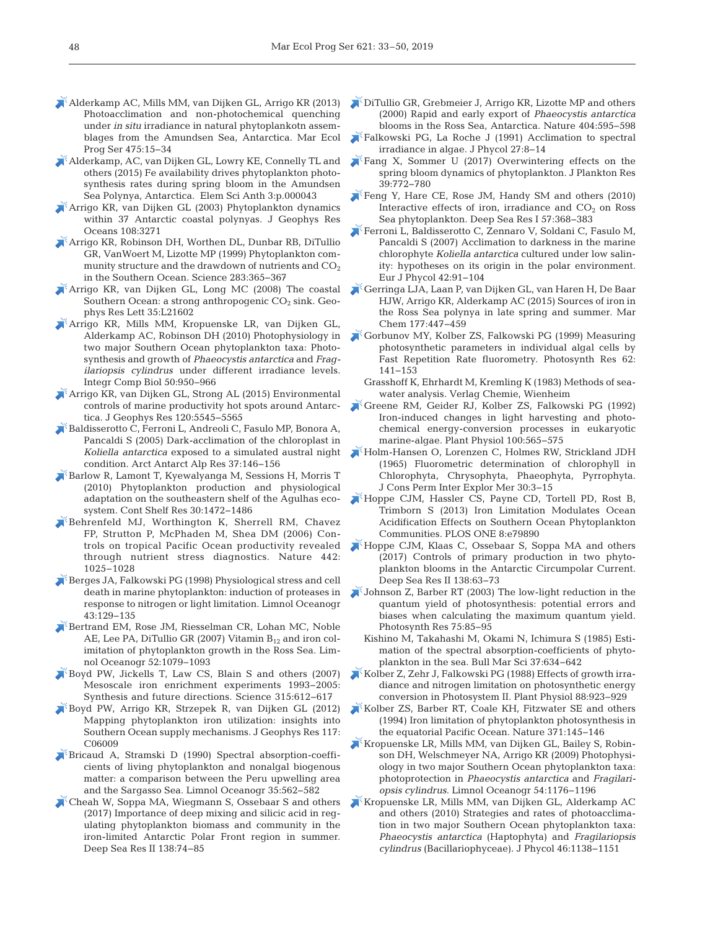- [Alderkamp AC, Mills MM, van Dijken GL, Arrigo KR \(2013\)](https://doi.org/10.3354/meps10097) Photoacclimation and non-photochemical quenching under *in situ* irradiance in natural phytoplankotn assemblages from the Amundsen Sea, Antarctica. Mar Ecol Prog Ser 475: 15−34
- [Alderkamp, AC, van Dijken GL, Lowry KE, Connelly TL and](https://doi.org/10.12952/journal.elementa.000043) others (2015) Fe availability drives phytoplankton photosynthesis rates during spring bloom in the Amundsen Sea Polynya, Antarctica. Elem Sci Anth 3:p.000043
- [Arrigo KR, van Dijken GL \(2003\) Phytoplankton dynamics](https://doi.org/10.1029/2002JC001739) within 37 Antarctic coastal polynyas. J Geophys Res Oceans 108:3271
- [Arrigo KR, Robinson DH, Worthen DL, Dunbar RB, DiTullio](https://doi.org/10.1126/science.283.5400.365) GR, VanWoert M, Lizotte MP (1999) Phytoplankton community structure and the drawdown of nutrients and  $CO<sub>2</sub>$ in the Southern Ocean. Science 283: 365−367
- [Arrigo KR, van Dijken GL, Long MC \(2008\) The coastal](https://doi.org/10.1029/2008GL035624) Southern Ocean: a strong anthropogenic  $CO<sub>2</sub>$  sink. Geophys Res Lett 35:L21602
- [Arrigo KR, Mills MM, Kropuenske LR, van Dijken GL,](https://doi.org/10.1093/icb/icq021) Alderkamp AC, Robinson DH (2010) Photophysiology in two major Southern Ocean phytoplankton taxa: Photosynthesis and growth of *Phaeocystis antarctica* and *Fragilariopsis cylindrus* under different irradiance levels. Integr Comp Biol 50: 950−966
- [Arrigo KR, van Dijken GL, Strong AL \(2015\) Environmental](https://doi.org/10.1002/2015JC010888) controls of marine productivity hot spots around Antarctica. J Geophys Res 120:5545-5565
- [Baldisserotto C, Ferroni L, Andreoli C, Fasulo MP, Bonora A,](https://doi.org/10.1657/1523-0430(2005)037%5b0146%3ADOTCIK%5d2.0.CO%3B2) Pancaldi S (2005) Dark-acclimation of the chloroplast in *Koliella antarctica* exposed to a simulated austral night condition. Arct Antarct Alp Res 37: 146−156
- [Barlow R, Lamont T, Kyewalyanga M, Sessions H, Morris T](https://doi.org/10.1016/j.csr.2010.05.007) (2010) Phytoplankton production and physiological adaptation on the southeastern shelf of the Agulhas ecosystem. Cont Shelf Res 30: 1472−1486
- [Behrenfeld MJ, Worthington K, Sherrell RM, Chavez](https://doi.org/10.1038/nature05083) FP, Strutton P, McPhaden M, Shea DM (2006) Controls on tropical Pacific Ocean productivity revealed through nutrient stress diagnostics. Nature 442: 1025−1028
- [Berges JA, Falkowski PG \(1998\) Physiological stress and cell](https://doi.org/10.4319/lo.1998.43.1.0129) death in marine phytoplankton: induction of proteases in response to nitrogen or light limitation. Limnol Oceanogr 43: 129−135
- [Bertrand EM, Rose JM, Riesselman CR, Lohan MC, Noble](https://doi.org/10.4319/lo.2007.52.3.1079) AE, Lee PA, DiTullio GR (2007) Vitamin  $B_{12}$  and iron colimitation of phytoplankton growth in the Ross Sea. Limnol Oceanogr 52: 1079−1093
- [Boyd PW, Jickells T, Law CS, Blain S and others \(2007\)](https://doi.org/10.1126/science.1131669) Mesoscale iron enrichment experiments 1993-2005: Synthesis and future directions. Science 315: 612−617
- [Boyd PW, Arrigo KR, Strzepek R, van Dijken GL \(2012\)](https://doi.org/10.1029/2011JC007726) Mapping phytoplankton iron utilization: insights into Southern Ocean supply mechanisms. J Geophys Res 117: C06009
- [Bricaud A, Stramski D \(1990\) Spectral absorption-coeffi](https://doi.org/10.4319/lo.1990.35.3.0562)cients of living phytoplankton and nonalgal biogenous matter: a comparison between the Peru upwelling area and the Sargasso Sea. Limnol Oceanogr 35: 562−582
- [Cheah W, Soppa MA, Wiegmann S, Ossebaar S and others](https://doi.org/10.1016/j.dsr2.2016.05.019) (2017) Importance of deep mixing and silicic acid in regulating phytoplankton biomass and community in the iron-limited Antarctic Polar Front region in summer. Deep Sea Res II 138:74-85
- [DiTullio GR, Grebmeier J, Arrigo KR, Lizotte MP and others](https://doi.org/10.1038/35007061) (2000) Rapid and early export of *Phaeocystis antarctica* blooms in the Ross Sea, Antarctica. Nature 404:595-598
- [Falkowski PG, La Roche J \(1991\) Acclimation to spectral](https://doi.org/10.1111/j.0022-3646.1991.00008.x) irradiance in algae. J Phycol 27: 8−14
- [Fang X, Sommer U \(2017\) Overwintering effects on the](https://doi.org/10.1093/plankt/fbx046) spring bloom dynamics of phytoplankton. J Plankton Res 39: 772−780
- [Feng Y, Hare CE, Rose JM, Handy SM and others \(2010\)](https://doi.org/10.1016/j.dsr.2009.10.013) Interactive effects of iron, irradiance and  $CO<sub>2</sub>$  on Ross Sea phytoplankton. Deep Sea Res I 57:368-383
- [Ferroni L, Baldisserotto C, Zennaro V, Soldani C, Fasulo M,](https://doi.org/10.1080/09670260600960850) Pancaldi S (2007) Acclimation to darkness in the marine chlorophyte *Koliella antarctica* cultured under low salinity: hypotheses on its origin in the polar environment. Eur J Phycol 42:91-104
- [Gerringa LJA, Laan P, van Dijken GL, van Haren H, De Baar](https://doi.org/10.1016/j.marchem.2015.06.002) HJW, Arrigo KR, Alderkamp AC (2015) Sources of iron in the Ross Sea polynya in late spring and summer. Mar Chem 177: 447−459
- [Gorbunov MY, Kolber ZS, Falkowski PG \(1999\) Measuring](https://doi.org/10.1023/A%3A1006360005033) photosynthetic parameters in individual algal cells by Fast Repetition Rate fluorometry. Photosynth Res 62: 141−153
	- Grasshoff K, Ehrhardt M, Kremling K (1983) Methods of seawater analysis. Verlag Chemie, Wienheim
- [Greene RM, Geider RJ, Kolber ZS, Falkowski PG \(1992\)](https://doi.org/10.1104/pp.100.2.565) Iron-induced changes in light harvesting and photochemical energy-conversion processes in eukaryotic marine-algae. Plant Physiol 100:565-575
- [Holm-Hansen O, Lorenzen C, Holmes RW, Strickland JDH](https://doi.org/10.1093/icesjms/30.1.3) (1965) Fluorometric determination of chlorophyll in Chlorophyta, Chrysophyta, Phaeophyta, Pyrrophyta. J Cons Perm Inter Explor Mer 30: 3−15
- [Hoppe CJM, Hassler CS, Payne CD, Tortell PD, Rost B,](https://doi.org/10.1371/journal.pone.0079890) Trimborn S (2013) Iron Limitation Modulates Ocean Acidification Effects on Southern Ocean Phytoplankton Communities. PLOS ONE 8:e79890
- [Hoppe CJM, Klaas C, Ossebaar S, Soppa MA and others](https://doi.org/10.1016/j.dsr2.2015.10.005) (2017) Controls of primary production in two phytoplankton blooms in the Antarctic Circumpolar Current. Deep Sea Res II 138:63-73
- [Johnson Z, Barber RT \(2003\) The low-light reduction in the](https://doi.org/10.1023/A%3A1022440305765) quantum yield of photosynthesis: potential errors and biases when calculating the maximum quantum yield. Photosynth Res 75:85-95
	- Kishino M, Takahashi M, Okami N, Ichimura S (1985) Estimation of the spectral absorption-coefficients of phytoplankton in the sea. Bull Mar Sci 37:634-642
- [Kolber Z, Zehr J, Falkowski PG \(1988\) Effects of growth irra](https://doi.org/10.1104/pp.88.3.923)diance and nitrogen limitation on photosynthetic energy conversion in Photosystem II. Plant Physiol 88: 923−929
- [Kolber ZS, Barber RT, Coale KH, Fitzwater SE and others](https://doi.org/10.1038/371145a0) (1994) Iron limitation of phytoplankton photosynthesis in the equatorial Pacific Ocean. Nature 371: 145−146
- [Kropuenske LR, Mills MM, van Dijken GL, Bailey S, Robin](https://doi.org/10.4319/lo.2009.54.4.1176)son DH, Welschmeyer NA, Arrigo KR (2009) Photophysiology in two major Southern Ocean phytoplankton taxa: photoprotection in *Phaeocystis antarctica* and *Fragilariopsis cylindrus*. Limnol Oceanogr 54: 1176−1196
- [Kropuenske LR, Mills MM, van Dijken GL, Alderkamp AC](https://doi.org/10.1111/j.1529-8817.2010.00922.x) and others (2010) Strategies and rates of photoacclimation in two major Southern Ocean phytoplankton taxa: *Phaeocystis antarctica* (Haptophyta) and *Fragilariopsis cylindrus* (Bacillariophyceae). J Phycol 46: 1138−1151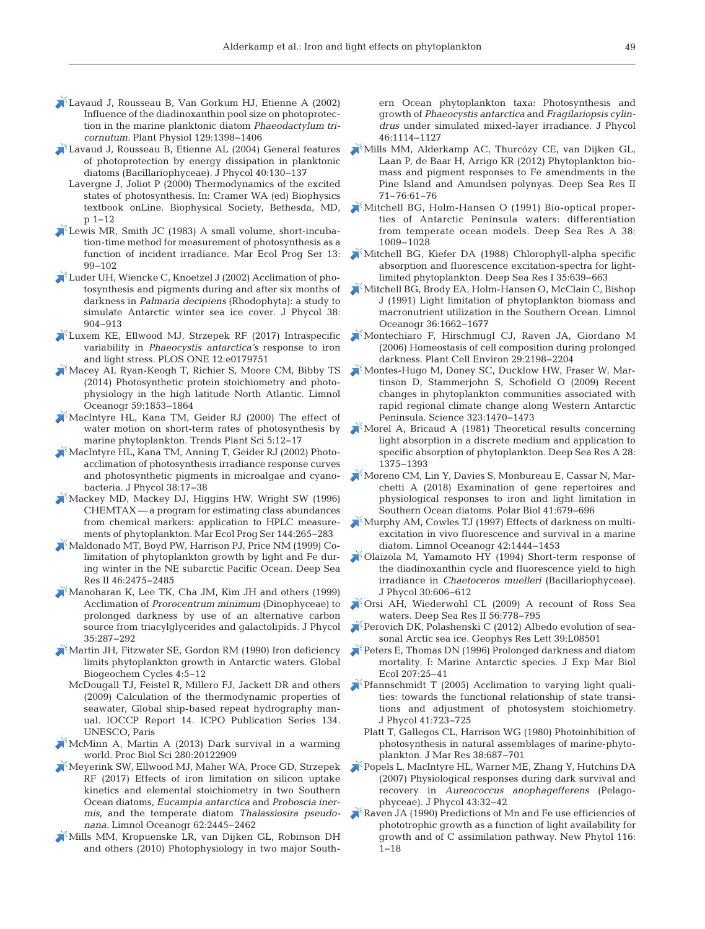- [Lavaud J, Rousseau B, Van Gorkum HJ, Etienne A \(2002\)](https://doi.org/10.1104/pp.002014) Influence of the diadinoxanthin pool size on photoprotection in the marine planktonic diatom *Phaeodactylum tricornutum.* Plant Physiol 129: 1398−1406
- [Lavaud J, Rousseau B, Etienne AL \(2004\) General features](https://doi.org/10.1046/j.1529-8817.2004.03026.x) of photoprotection by energy dissipation in planktonic diatoms (Bacillariophyceae). J Phycol 40:130-137
	- Lavergne J, Joliot P (2000) Thermodynamics of the excited states of photosynthesis. In:Cramer WA (ed) Biophysics textbook onLine. Biophysical Society, Bethesda, MD, p 1−12
- [Lewis MR, Smith JC \(1983\) A small volume, short-incuba](https://doi.org/10.3354/meps013099)tion-time method for measurement of photosynthesis as a function of incident irradiance. Mar Ecol Prog Ser 13: 99−102
- [Luder UH, Wiencke C, Knoetzel J \(2002\) Acclimation of pho](https://doi.org/10.1046/j.1529-8817.2002.t01-1-01071.x)tosynthesis and pigments during and after six months of darkness in *Palmaria decipiens* (Rhodophyta): a study to simulate Antarctic winter sea ice cover. J Phycol 38: 904−913
- [Luxem KE, Ellwood MJ, Strzepek RF \(2017\) Intraspecific](https://doi.org/10.1371/journal.pone.0179751) variability in *Phaeocystis antarctica's* response to iron and light stress. PLOS ONE 12:e0179751
- [Macey AI, Ryan-Keogh T, Richier S, Moore CM, Bibby TS](https://doi.org/10.4319/lo.2014.59.6.1853) (2014) Photosynthetic protein stoichiometry and photophysiology in the high latitude North Atlantic. Limnol Oceanogr 59: 1853−1864
- [MacIntyre HL, Kana TM, Geider RJ \(2000\) The effect of](https://doi.org/10.1016/S1360-1385(99)01504-6) water motion on short-term rates of photosynthesis by marine phytoplankton. Trends Plant Sci 5: 12−17
- MacIntyre HL, Kana TM, Anning T, Geider RJ (2002) Photoacclimation of photosynthesis irradiance response curves and photosynthetic pigments in microalgae and cyanobacteria. J Phycol 38: 17−38
- [Mackey MD, Mackey DJ, Higgins HW, Wright SW \(1996\)](https://doi.org/10.3354/meps144265) CHEMTAX— a program for estimating class abundances from chemical markers: application to HPLC measurements of phytoplankton. Mar Ecol Prog Ser 144:265-283
- [Maldonado MT, Boyd PW, Harrison PJ, Price NM \(1999\) Co](https://doi.org/10.1016/S0967-0645(99)00072-7)limitation of phytoplankton growth by light and Fe during winter in the NE subarctic Pacific Ocean. Deep Sea Res II 46:2475-2485
- [Manoharan K, Lee TK, Cha JM, Kim JH and others \(1999\)](https://doi.org/10.1046/j.1529-8817.1999.3520287.x) Acclimation of *Prorocentrum minimum* (Dinophyceae) to prolonged darkness by use of an alternative carbon source from triacylglycerides and galactolipids. J Phycol 35: 287−292
- [Martin JH, Fitzwater SE, Gordon RM \(1990\) Iron deficiency](https://doi.org/10.1029/GB004i001p00005) limits phytoplankton growth in Antarctic waters. Global Biogeochem Cycles 4:5-12
- McDougall TJ, Feistel R, Millero FJ, Jackett DR and others (2009) Calculation of the thermodynamic properties of seawater, Global ship-based repeat hydrography manual. IOCCP Report 14. ICPO Publication Series 134. UNESCO, Paris
- [McMinn A, Martin A \(2013\) Dark survival in a warming](https://doi.org/10.1098/rspb.2012.2909) world. Proc Biol Sci 280: 20122909
- [Meyerink SW, Ellwood MJ, Maher WA, Proce GD, Strzepek](https://doi.org/10.1002/lno.10578) RF (2017) Effects of iron limitation on silicon uptake kinetics and elemental stoichiometry in two Southern Ocean diatoms, *Eucampia antarctica* and *Proboscia inermis*, and the temperate diatom *Thalassiosira pseudonana.* Limnol Oceanogr 62:2445-2462
- [Mills MM, Kropuenske LR, van Dijken GL, Robinson DH](https://doi.org/10.1111/j.1529-8817.2010.00923.x) and others (2010) Photophysiology in two major South-

ern Ocean phytoplankton taxa: Photosynthesis and growth of *Phaeocystis antarctica* and *Fragilariopsis cylindrus* under simulated mixed-layer irradiance. J Phycol 46: 1114−1127

- [Mills MM, Alderkamp AC, Thurcózy CE, van Dijken GL,](https://doi.org/10.1016/j.dsr2.2012.03.008) Laan P, de Baar H, Arrigo KR (2012) Phytoplankton biomass and pigment responses to Fe amendments in the Pine Island and Amundsen polynyas. Deep Sea Res II 71–76: 61−76
- [Mitchell BG, Holm-Hansen O \(1991\) Bio-optical proper](https://doi.org/10.1016/0198-0149(91)90094-V)ties of Antarctic Peninsula waters: differentiation from temperate ocean models. Deep Sea Res A 38: 1009−1028
- [Mitchell BG, Kiefer DA \(1988\) Chlorophyll-alpha specific](https://doi.org/10.1016/0198-0149(88)90024-6) absorption and fluorescence excitation-spectra for lightlimited phytoplankton. Deep Sea Res I 35: 639−663
- [Mitchell BG, Brody EA, Holm-Hansen O, McClain C, Bishop](https://doi.org/10.4319/lo.1991.36.8.1662) J (1991) Light limitation of phytoplankton biomass and macronutrient utilization in the Southern Ocean. Limnol Oceanogr 36: 1662−1677
- [Montechiaro F, Hirschmugl CJ, Raven JA, Giordano M](https://doi.org/10.1111/j.1365-3040.2006.01593.x) (2006) Homeostasis of cell composition during prolonged darkness. Plant Cell Environ 29:2198-2204
- [Montes-Hugo M, Doney SC, Ducklow HW, Fraser W, Mar](https://doi.org/10.1126/science.1164533)tinson D, Stammerjohn S, Schofield O (2009) Recent changes in phytoplankton communities associated with rapid regional climate change along Western Antarctic Peninsula. Science 323: 1470−1473
- [Morel A, Bricaud A \(1981\) Theoretical results concerning](https://doi.org/10.1016/0198-0149(81)90039-X) light absorption in a discrete medium and application to specific absorption of phytoplankton. Deep Sea Res A 28: 1375−1393
- [Moreno CM, Lin Y, Davies S, Monbureau E, Cassar N, Mar](https://doi.org/10.1007/s00300-017-2228-7)chetti A (2018) Examination of gene repertoires and physiological responses to iron and light limitation in Southern Ocean diatoms. Polar Biol 41:679-696
- [Murphy AM, Cowles TJ \(1997\) Effects of darkness on multi](https://doi.org/10.4319/lo.1997.42.6.1444)excitation in vivo fluorescence and survival in a marine diatom. Limnol Oceanogr 42: 1444−1453
- [Olaizola M, Yamamoto HY \(1994\) Short-term response of](https://doi.org/10.1111/j.0022-3646.1994.00606.x) the diadinoxanthin cycle and fluorescence yield to high irradiance in *Chaetoceros muelleri* (Bacillariophyceae). J Phycol 30: 606−612
- [Orsi AH, Wiederwohl CL \(2009\) A recount of Ross Sea](https://doi.org/10.1016/j.dsr2.2008.10.033) waters. Deep Sea Res II 56:778−795
- [Perovich DK, Polashenski C \(2012\) Albedo evolution of sea](https://doi.org/10.1029/2012GL051432)sonal Arctic sea ice. Geophys Res Lett 39:L08501
- [Peters E, Thomas DN \(1996\) Prolonged darkness and diatom](https://doi.org/10.1016/S0022-0981(96)02520-8) mortality. I: Marine Antarctic species. J Exp Mar Biol Ecol 207: 25−41
- [Pfannschmidt T \(2005\) Acclimation to varying light quali](https://doi.org/10.1111/j.1529-8817.2005.00116.x)ties: towards the functional relationship of state transitions and adjustment of photosystem stoichiometry. J Phycol 41:723-725
	- Platt T, Gallegos CL, Harrison WG (1980) Photoinhibition of photosynthesis in natural assemblages of marine-phytoplankton. J Mar Res 38: 687−701
- [Popels L, MacIntyre HL, Warner ME, Zhang Y, Hutchins DA](https://doi.org/10.1111/j.1529-8817.2006.00303.x) (2007) Physiological responses during dark survival and recovery in *Aureococcus anophagefferens* (Pelagophyceae). J Phycol 43:32-42
- [Raven JA \(1990\) Predictions of Mn and Fe use efficiencies of](https://doi.org/10.1111/j.1469-8137.1990.tb00505.x) phototrophic growth as a function of light availability for growth and of C assimilation pathway. New Phytol 116: 1−18